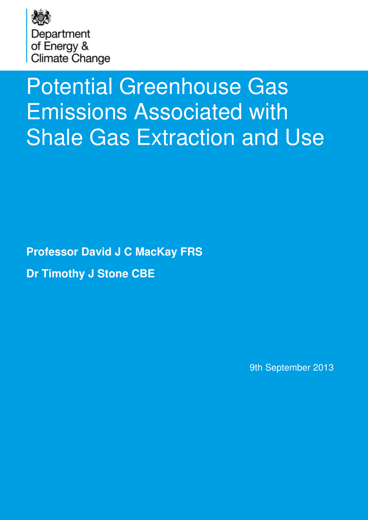

# Potential Greenhouse Gas Emissions Associated with Shale Gas Extraction and Use

**Professor David J C MacKay FRS Dr Timothy J Stone CBE**

9th September 2013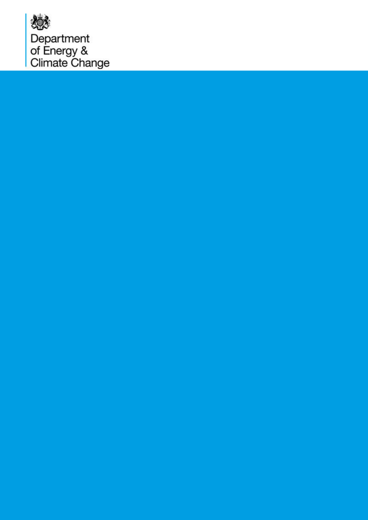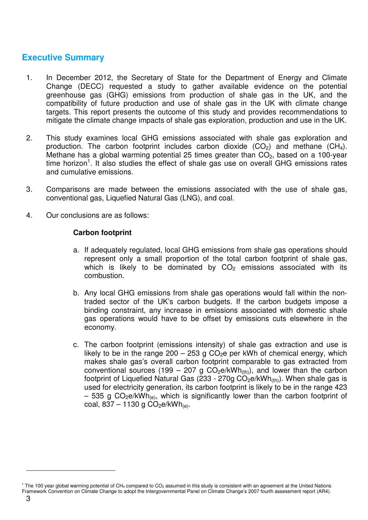# **Executive Summary**

- 1. In December 2012, the Secretary of State for the Department of Energy and Climate Change (DECC) requested a study to gather available evidence on the potential greenhouse gas (GHG) emissions from production of shale gas in the UK, and the compatibility of future production and use of shale gas in the UK with climate change targets. This report presents the outcome of this study and provides recommendations to mitigate the climate change impacts of shale gas exploration, production and use in the UK.
- 2. This study examines local GHG emissions associated with shale gas exploration and production. The carbon footprint includes carbon dioxide  $(CO<sub>2</sub>)$  and methane  $(CH<sub>4</sub>)$ . Methane has a global warming potential 25 times greater than  $CO<sub>2</sub>$ , based on a 100-year time horizon<sup>1</sup>. It also studies the effect of shale gas use on overall GHG emissions rates and cumulative emissions.
- 3. Comparisons are made between the emissions associated with the use of shale gas, conventional gas, Liquefied Natural Gas (LNG), and coal.
- 4. Our conclusions are as follows:

#### **Carbon footprint**

- a. If adequately regulated, local GHG emissions from shale gas operations should represent only a small proportion of the total carbon footprint of shale gas, which is likely to be dominated by  $CO<sub>2</sub>$  emissions associated with its combustion.
- b. Any local GHG emissions from shale gas operations would fall within the nontraded sector of the UK's carbon budgets. If the carbon budgets impose a binding constraint, any increase in emissions associated with domestic shale gas operations would have to be offset by emissions cuts elsewhere in the economy.
- c. The carbon footprint (emissions intensity) of shale gas extraction and use is likely to be in the range  $200 - 253$  g  $CO<sub>2</sub>e$  per kWh of chemical energy, which makes shale gas's overall carbon footprint comparable to gas extracted from conventional sources (199 – 207 g  $CO<sub>2</sub>e/kWh<sub>(th)</sub>$ ), and lower than the carbon footprint of Liquefied Natural Gas (233 - 270g  $CO<sub>2</sub>$ e/kWh<sub>(th)</sub>). When shale gas is used for electricity generation, its carbon footprint is likely to be in the range 423 – 535 g CO<sub>2</sub>e/kWh<sub>(e)</sub>, which is significantly lower than the carbon footprint of coal,  $837 - 1130$  g  $CO<sub>2</sub>e/kWh<sub>(e)</sub>$ .

<sup>&</sup>lt;sup>1</sup> The 100 year global warming potential of CH<sub>4</sub> compared to CO<sub>2</sub> assumed in this study is consistent with an agreement at the United Nations Framework Convention on Climate Change to adopt the Intergovernmental Panel on Climate Change's 2007 fourth assessment report (AR4).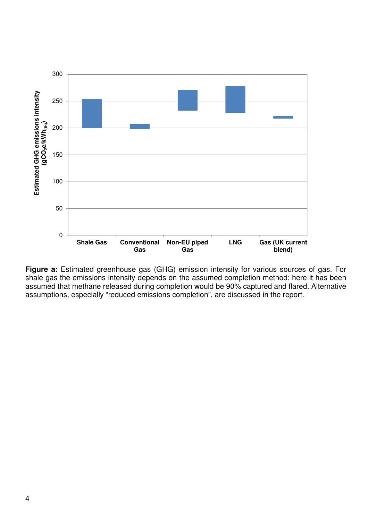

**Figure a:** Estimated greenhouse gas (GHG) emission intensity for various sources of gas. For shale gas the emissions intensity depends on the assumed completion method; here it has been assumed that methane released during completion would be 90% captured and flared. Alternative assumptions, especially "reduced emissions completion", are discussed in the report.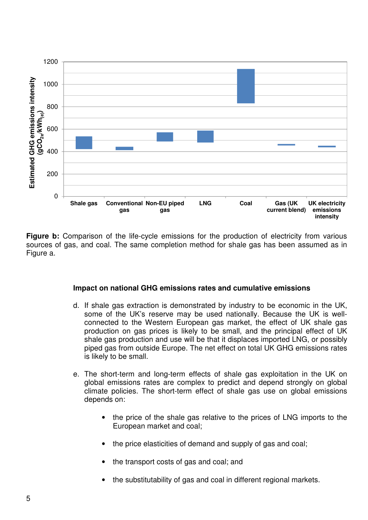

Figure b: Comparison of the life-cycle emissions for the production of electricity from various sources of gas, and coal. The same completion method for shale gas has been assumed as in Figure a.

#### **Impact on national GHG emissions rates and cumulative emissions**

- d. If shale gas extraction is demonstrated by industry to be economic in the UK, some of the UK's reserve may be used nationally. Because the UK is wellconnected to the Western European gas market, the effect of UK shale gas production on gas prices is likely to be small, and the principal effect of UK shale gas production and use will be that it displaces imported LNG, or possibly piped gas from outside Europe. The net effect on total UK GHG emissions rates is likely to be small.
- e. The short-term and long-term effects of shale gas exploitation in the UK on global emissions rates are complex to predict and depend strongly on global climate policies. The short-term effect of shale gas use on global emissions depends on:
	- the price of the shale gas relative to the prices of LNG imports to the European market and coal;
	- the price elasticities of demand and supply of gas and coal;
	- the transport costs of gas and coal; and
	- the substitutability of gas and coal in different regional markets.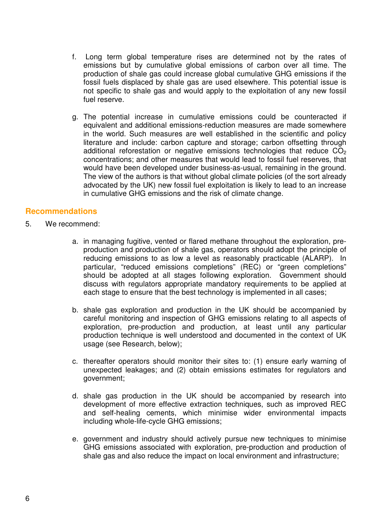- f. Long term global temperature rises are determined not by the rates of emissions but by cumulative global emissions of carbon over all time. The production of shale gas could increase global cumulative GHG emissions if the fossil fuels displaced by shale gas are used elsewhere. This potential issue is not specific to shale gas and would apply to the exploitation of any new fossil fuel reserve.
- g. The potential increase in cumulative emissions could be counteracted if equivalent and additional emissions-reduction measures are made somewhere in the world. Such measures are well established in the scientific and policy literature and include: carbon capture and storage; carbon offsetting through additional reforestation or negative emissions technologies that reduce  $CO<sub>2</sub>$ concentrations; and other measures that would lead to fossil fuel reserves, that would have been developed under business-as-usual, remaining in the ground. The view of the authors is that without global climate policies (of the sort already advocated by the UK) new fossil fuel exploitation is likely to lead to an increase in cumulative GHG emissions and the risk of climate change.

#### **Recommendations**

- 5. We recommend:
	- a. in managing fugitive, vented or flared methane throughout the exploration, preproduction and production of shale gas, operators should adopt the principle of reducing emissions to as low a level as reasonably practicable (ALARP). In particular, "reduced emissions completions" (REC) or "green completions" should be adopted at all stages following exploration. Government should discuss with regulators appropriate mandatory requirements to be applied at each stage to ensure that the best technology is implemented in all cases;
	- b. shale gas exploration and production in the UK should be accompanied by careful monitoring and inspection of GHG emissions relating to all aspects of exploration, pre-production and production, at least until any particular production technique is well understood and documented in the context of UK usage (see Research, below);
	- c. thereafter operators should monitor their sites to: (1) ensure early warning of unexpected leakages; and (2) obtain emissions estimates for regulators and government;
	- d. shale gas production in the UK should be accompanied by research into development of more effective extraction techniques, such as improved REC and self-healing cements, which minimise wider environmental impacts including whole-life-cycle GHG emissions;
	- e. government and industry should actively pursue new techniques to minimise GHG emissions associated with exploration, pre-production and production of shale gas and also reduce the impact on local environment and infrastructure;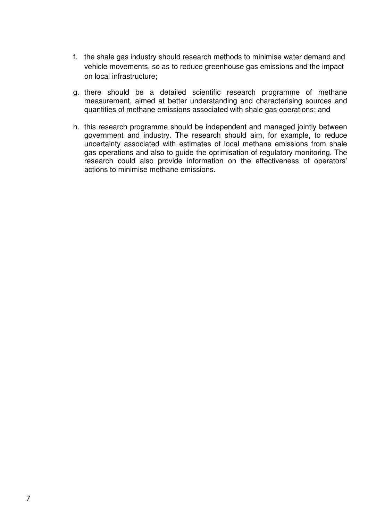- f. the shale gas industry should research methods to minimise water demand and vehicle movements, so as to reduce greenhouse gas emissions and the impact on local infrastructure;
- g. there should be a detailed scientific research programme of methane measurement, aimed at better understanding and characterising sources and quantities of methane emissions associated with shale gas operations; and
- h. this research programme should be independent and managed jointly between government and industry. The research should aim, for example, to reduce uncertainty associated with estimates of local methane emissions from shale gas operations and also to guide the optimisation of regulatory monitoring. The research could also provide information on the effectiveness of operators' actions to minimise methane emissions.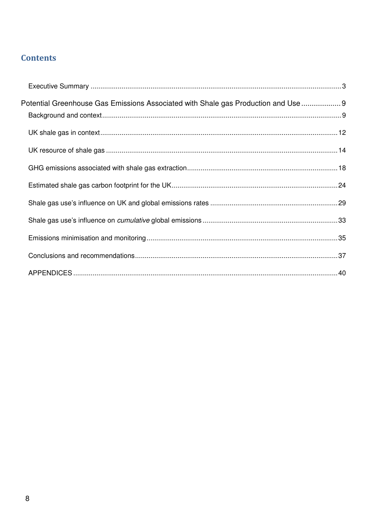# **Contents**

| Potential Greenhouse Gas Emissions Associated with Shale gas Production and Use  9 |  |
|------------------------------------------------------------------------------------|--|
|                                                                                    |  |
|                                                                                    |  |
|                                                                                    |  |
|                                                                                    |  |
|                                                                                    |  |
|                                                                                    |  |
|                                                                                    |  |
|                                                                                    |  |
|                                                                                    |  |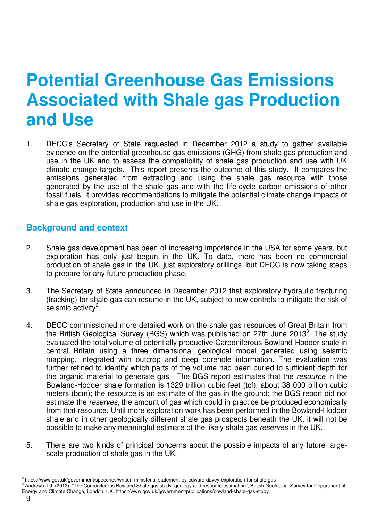# **Potential Greenhouse Gas Emissions Associated with Shale gas Production and Use**

1. DECC's Secretary of State requested in December 2012 a study to gather available evidence on the potential greenhouse gas emissions (GHG) from shale gas production and use in the UK and to assess the compatibility of shale gas production and use with UK climate change targets. This report presents the outcome of this study. It compares the emissions generated from extracting and using the shale gas resource with those generated by the use of the shale gas and with the life-cycle carbon emissions of other fossil fuels. It provides recommendations to mitigate the potential climate change impacts of shale gas exploration, production and use in the UK.

## **Background and context**

- 2. Shale gas development has been of increasing importance in the USA for some years, but exploration has only just begun in the UK. To date, there has been no commercial production of shale gas in the UK, just exploratory drillings, but DECC is now taking steps to prepare for any future production phase.
- 3. The Secretary of State announced in December 2012 that exploratory hydraulic fracturing (fracking) for shale gas can resume in the UK, subject to new controls to mitigate the risk of seismic activity $2$ .
- 4. DECC commissioned more detailed work on the shale gas resources of Great Britain from the British Geological Survey (BGS) which was published on 27th June 2013<sup>3</sup>. The study evaluated the total volume of potentially productive Carboniferous Bowland-Hodder shale in central Britain using a three dimensional geological model generated using seismic mapping, integrated with outcrop and deep borehole information. The evaluation was further refined to identify which parts of the volume had been buried to sufficient depth for the organic material to generate gas. The BGS report estimates that the resource in the Bowland-Hodder shale formation is 1329 trillion cubic feet (tcf), about 38 000 billion cubic meters (bcm); the resource is an estimate of the gas in the ground; the BGS report did not estimate the reserves, the amount of gas which could in practice be produced economically from that resource. Until more exploration work has been performed in the Bowland-Hodder shale and in other geologically different shale gas prospects beneath the UK, it will not be possible to make any meaningful estimate of the likely shale gas reserves in the UK.
- 5. There are two kinds of principal concerns about the possible impacts of any future largescale production of shale gas in the UK.

<sup>&</sup>lt;sup>2</sup> https://www.gov.uk/government/speeches/written-ministerial-statement-by-edward-davey-exploration-for-shale-gas

<sup>&</sup>lt;sup>3</sup> Andrews, I.J. (2013), "The Carboniferous Bowland Shale gas study: geology and resource estimation", British Geological Survey for Department of Energy and Climate Change, London, UK. https://www.gov.uk/government/publications/bowland-shale-gas-study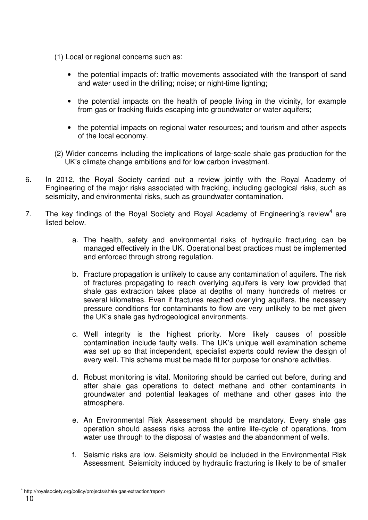- (1) Local or regional concerns such as:
	- the potential impacts of: traffic movements associated with the transport of sand and water used in the drilling; noise; or night-time lighting;
	- the potential impacts on the health of people living in the vicinity, for example from gas or fracking fluids escaping into groundwater or water aquifers;
	- the potential impacts on regional water resources; and tourism and other aspects of the local economy.
- (2) Wider concerns including the implications of large-scale shale gas production for the UK's climate change ambitions and for low carbon investment.
- 6. In 2012, the Royal Society carried out a review jointly with the Royal Academy of Engineering of the major risks associated with fracking, including geological risks, such as seismicity, and environmental risks, such as groundwater contamination.
- 7. The key findings of the Royal Society and Royal Academy of Engineering's review<sup>4</sup> are listed below.
	- a. The health, safety and environmental risks of hydraulic fracturing can be managed effectively in the UK. Operational best practices must be implemented and enforced through strong regulation.
	- b. Fracture propagation is unlikely to cause any contamination of aquifers. The risk of fractures propagating to reach overlying aquifers is very low provided that shale gas extraction takes place at depths of many hundreds of metres or several kilometres. Even if fractures reached overlying aquifers, the necessary pressure conditions for contaminants to flow are very unlikely to be met given the UK's shale gas hydrogeological environments.
	- c. Well integrity is the highest priority. More likely causes of possible contamination include faulty wells. The UK's unique well examination scheme was set up so that independent, specialist experts could review the design of every well. This scheme must be made fit for purpose for onshore activities.
	- d. Robust monitoring is vital. Monitoring should be carried out before, during and after shale gas operations to detect methane and other contaminants in groundwater and potential leakages of methane and other gases into the atmosphere.
	- e. An Environmental Risk Assessment should be mandatory. Every shale gas operation should assess risks across the entire life-cycle of operations, from water use through to the disposal of wastes and the abandonment of wells.
	- f. Seismic risks are low. Seismicity should be included in the Environmental Risk Assessment. Seismicity induced by hydraulic fracturing is likely to be of smaller

<sup>4</sup> http://royalsociety.org/policy/projects/shale gas-extraction/report/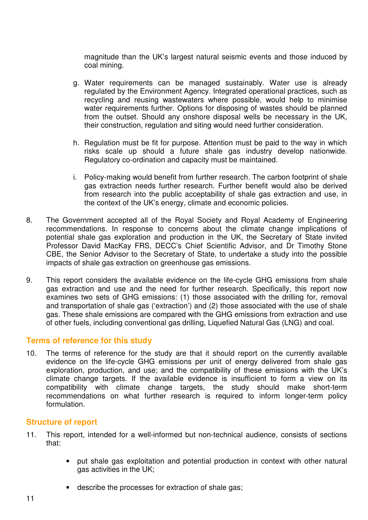magnitude than the UK's largest natural seismic events and those induced by coal mining.

- g. Water requirements can be managed sustainably. Water use is already regulated by the Environment Agency. Integrated operational practices, such as recycling and reusing wastewaters where possible, would help to minimise water requirements further. Options for disposing of wastes should be planned from the outset. Should any onshore disposal wells be necessary in the UK, their construction, regulation and siting would need further consideration.
- h. Regulation must be fit for purpose. Attention must be paid to the way in which risks scale up should a future shale gas industry develop nationwide. Regulatory co-ordination and capacity must be maintained.
- i. Policy-making would benefit from further research. The carbon footprint of shale gas extraction needs further research. Further benefit would also be derived from research into the public acceptability of shale gas extraction and use, in the context of the UK's energy, climate and economic policies.
- 8. The Government accepted all of the Royal Society and Royal Academy of Engineering recommendations. In response to concerns about the climate change implications of potential shale gas exploration and production in the UK, the Secretary of State invited Professor David MacKay FRS, DECC's Chief Scientific Advisor, and Dr Timothy Stone CBE, the Senior Advisor to the Secretary of State, to undertake a study into the possible impacts of shale gas extraction on greenhouse gas emissions.
- 9. This report considers the available evidence on the life-cycle GHG emissions from shale gas extraction and use and the need for further research. Specifically, this report now examines two sets of GHG emissions: (1) those associated with the drilling for, removal and transportation of shale gas ('extraction') and (2) those associated with the use of shale gas. These shale emissions are compared with the GHG emissions from extraction and use of other fuels, including conventional gas drilling, Liquefied Natural Gas (LNG) and coal.

#### **Terms of reference for this study**

10. The terms of reference for the study are that it should report on the currently available evidence on the life-cycle GHG emissions per unit of energy delivered from shale gas exploration, production, and use; and the compatibility of these emissions with the UK's climate change targets. If the available evidence is insufficient to form a view on its compatibility with climate change targets, the study should make short-term recommendations on what further research is required to inform longer-term policy formulation.

#### **Structure of report**

- 11. This report, intended for a well-informed but non-technical audience, consists of sections that:
	- put shale gas exploitation and potential production in context with other natural gas activities in the UK;
	- describe the processes for extraction of shale gas;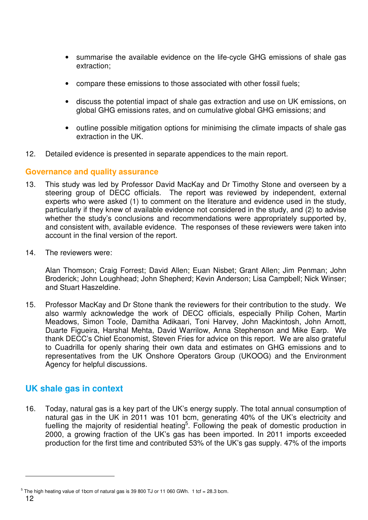- summarise the available evidence on the life-cycle GHG emissions of shale gas extraction;
- compare these emissions to those associated with other fossil fuels;
- discuss the potential impact of shale gas extraction and use on UK emissions, on global GHG emissions rates, and on cumulative global GHG emissions; and
- outline possible mitigation options for minimising the climate impacts of shale gas extraction in the UK.
- 12. Detailed evidence is presented in separate appendices to the main report.

#### **Governance and quality assurance**

- 13. This study was led by Professor David MacKay and Dr Timothy Stone and overseen by a steering group of DECC officials. The report was reviewed by independent, external experts who were asked (1) to comment on the literature and evidence used in the study, particularly if they knew of available evidence not considered in the study, and (2) to advise whether the study's conclusions and recommendations were appropriately supported by, and consistent with, available evidence. The responses of these reviewers were taken into account in the final version of the report.
- 14. The reviewers were:

Alan Thomson; Craig Forrest; David Allen; Euan Nisbet; Grant Allen; Jim Penman; John Broderick; John Loughhead; John Shepherd; Kevin Anderson; Lisa Campbell; Nick Winser; and Stuart Haszeldine.

15. Professor MacKay and Dr Stone thank the reviewers for their contribution to the study. We also warmly acknowledge the work of DECC officials, especially Philip Cohen, Martin Meadows, Simon Toole, Damitha Adikaari, Toni Harvey, John Mackintosh, John Arnott, Duarte Figueira, Harshal Mehta, David Warrilow, Anna Stephenson and Mike Earp. We thank DECC's Chief Economist, Steven Fries for advice on this report. We are also grateful to Cuadrilla for openly sharing their own data and estimates on GHG emissions and to representatives from the UK Onshore Operators Group (UKOOG) and the Environment Agency for helpful discussions.

# **UK shale gas in context**

 $\overline{a}$ 

16. Today, natural gas is a key part of the UK's energy supply. The total annual consumption of natural gas in the UK in 2011 was 101 bcm, generating 40% of the UK's electricity and fuelling the majority of residential heating<sup>5</sup>. Following the peak of domestic production in 2000, a growing fraction of the UK's gas has been imported. In 2011 imports exceeded production for the first time and contributed 53% of the UK's gas supply. 47% of the imports

<sup>12</sup>  $5$  The high heating value of 1bcm of natural gas is 39 800 TJ or 11 060 GWh. 1 tcf = 28.3 bcm.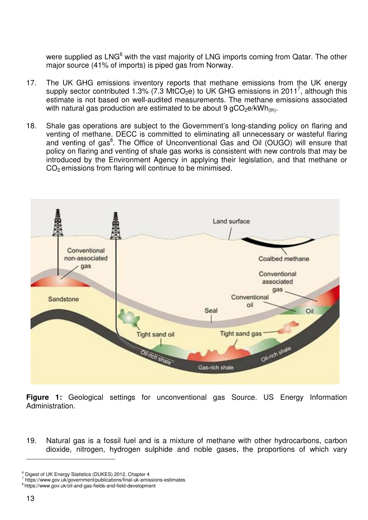were supplied as LNG<sup>6</sup> with the vast majority of LNG imports coming from Qatar. The other major source (41% of imports) is piped gas from Norway.

- 17. The UK GHG emissions inventory reports that methane emissions from the UK energy supply sector contributed 1.3% (7.3 MtCO<sub>2</sub>e) to UK GHG emissions in 2011<sup>7</sup>, although this estimate is not based on well-audited measurements. The methane emissions associated with natural gas production are estimated to be about 9  $qCO<sub>2</sub>e/kWh<sub>(th)</sub>$ .
- 18. Shale gas operations are subject to the Government's long-standing policy on flaring and venting of methane. DECC is committed to eliminating all unnecessary or wasteful flaring and venting of gas<sup>8</sup>. The Office of Unconventional Gas and Oil (OUGO) will ensure that policy on flaring and venting of shale gas works is consistent with new controls that may be introduced by the Environment Agency in applying their legislation, and that methane or  $CO<sub>2</sub>$  emissions from flaring will continue to be minimised.



**Figure 1:** Geological settings for unconventional gas Source. US Energy Information Administration.

19. Natural gas is a fossil fuel and is a mixture of methane with other hydrocarbons, carbon dioxide, nitrogen, hydrogen sulphide and noble gases, the proportions of which vary

<sup>6</sup> Digest of UK Energy Statistics (DUKES) 2012, Chapter 4

<sup>7</sup> https://www.gov.uk/government/publications/final-uk-emissions-estimates

<sup>8</sup>https://www.gov.uk/oil-and-gas-fields-and-field-development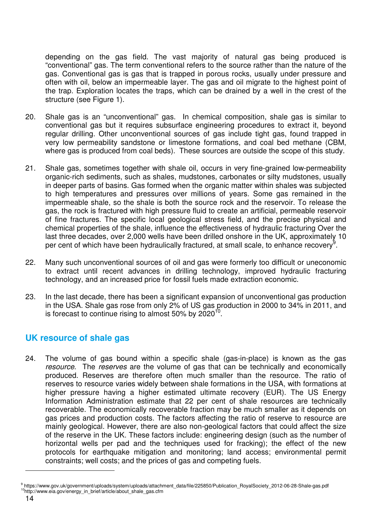depending on the gas field. The vast majority of natural gas being produced is "conventional" gas. The term conventional refers to the source rather than the nature of the gas. Conventional gas is gas that is trapped in porous rocks, usually under pressure and often with oil, below an impermeable layer. The gas and oil migrate to the highest point of the trap. Exploration locates the traps, which can be drained by a well in the crest of the structure (see Figure 1).

- 20. Shale gas is an "unconventional" gas. In chemical composition, shale gas is similar to conventional gas but it requires subsurface engineering procedures to extract it, beyond regular drilling. Other unconventional sources of gas include tight gas, found trapped in very low permeability sandstone or limestone formations, and coal bed methane (CBM, where gas is produced from coal beds). These sources are outside the scope of this study.
- 21. Shale gas, sometimes together with shale oil, occurs in very fine-grained low-permeability organic-rich sediments, such as shales, mudstones, carbonates or silty mudstones, usually in deeper parts of basins. Gas formed when the organic matter within shales was subjected to high temperatures and pressures over millions of years. Some gas remained in the impermeable shale, so the shale is both the source rock and the reservoir. To release the gas, the rock is fractured with high pressure fluid to create an artificial, permeable reservoir of fine fractures. The specific local geological stress field, and the precise physical and chemical properties of the shale, influence the effectiveness of hydraulic fracturing Over the last three decades, over 2,000 wells have been drilled onshore in the UK, approximately 10 per cent of which have been hydraulically fractured, at small scale, to enhance recovery<sup>9</sup>.
- 22. Many such unconventional sources of oil and gas were formerly too difficult or uneconomic to extract until recent advances in drilling technology, improved hydraulic fracturing technology, and an increased price for fossil fuels made extraction economic.
- 23. In the last decade, there has been a significant expansion of unconventional gas production in the USA. Shale gas rose from only 2% of US gas production in 2000 to 34% in 2011, and is forecast to continue rising to almost 50% by 2020 $^{10}$ .

# **UK resource of shale gas**

24. The volume of gas bound within a specific shale (gas-in-place) is known as the gas resource. The reserves are the volume of gas that can be technically and economically produced. Reserves are therefore often much smaller than the resource. The ratio of reserves to resource varies widely between shale formations in the USA, with formations at higher pressure having a higher estimated ultimate recovery (EUR). The US Energy Information Administration estimate that 22 per cent of shale resources are technically recoverable. The economically recoverable fraction may be much smaller as it depends on gas prices and production costs. The factors affecting the ratio of reserve to resource are mainly geological. However, there are also non-geological factors that could affect the size of the reserve in the UK. These factors include: engineering design (such as the number of horizontal wells per pad and the techniques used for fracking); the effect of the new protocols for earthquake mitigation and monitoring; land access; environmental permit constraints; well costs; and the prices of gas and competing fuels.

<sup>9</sup> https://www.gov.uk/government/uploads/system/uploads/attachment\_data/file/225850/Publication\_RoyalSociety\_2012-06-28-Shale-gas.pdf <sup>10</sup>http://www.eia.gov/energy\_in\_brief/article/about\_shale\_gas.cfm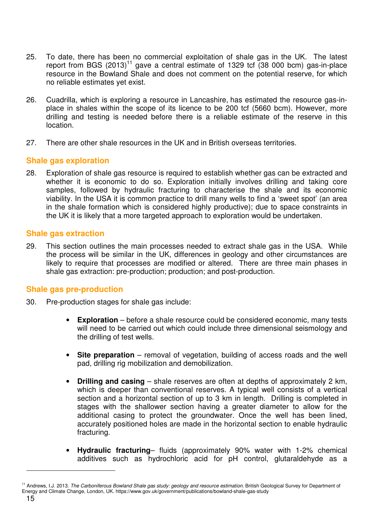- 25. To date, there has been no commercial exploitation of shale gas in the UK. The latest report from BGS  $(2013)^{11}$  gave a central estimate of 1329 tcf (38 000 bcm) gas-in-place resource in the Bowland Shale and does not comment on the potential reserve, for which no reliable estimates yet exist.
- 26. Cuadrilla, which is exploring a resource in Lancashire, has estimated the resource gas-inplace in shales within the scope of its licence to be 200 tcf (5660 bcm). However, more drilling and testing is needed before there is a reliable estimate of the reserve in this location.
- 27. There are other shale resources in the UK and in British overseas territories.

#### **Shale gas exploration**

28. Exploration of shale gas resource is required to establish whether gas can be extracted and whether it is economic to do so. Exploration initially involves drilling and taking core samples, followed by hydraulic fracturing to characterise the shale and its economic viability. In the USA it is common practice to drill many wells to find a 'sweet spot' (an area in the shale formation which is considered highly productive); due to space constraints in the UK it is likely that a more targeted approach to exploration would be undertaken.

#### **Shale gas extraction**

29. This section outlines the main processes needed to extract shale gas in the USA. While the process will be similar in the UK, differences in geology and other circumstances are likely to require that processes are modified or altered. There are three main phases in shale gas extraction: pre-production; production; and post-production.

#### **Shale gas pre-production**

- 30. Pre-production stages for shale gas include:
	- **Exploration** before a shale resource could be considered economic, many tests will need to be carried out which could include three dimensional seismology and the drilling of test wells.
	- **Site preparation** removal of vegetation, building of access roads and the well pad, drilling rig mobilization and demobilization.
	- **Drilling and casing** shale reserves are often at depths of approximately 2 km, which is deeper than conventional reserves. A typical well consists of a vertical section and a horizontal section of up to 3 km in length. Drilling is completed in stages with the shallower section having a greater diameter to allow for the additional casing to protect the groundwater. Once the well has been lined, accurately positioned holes are made in the horizontal section to enable hydraulic fracturing.
	- **Hydraulic fracturing** fluids (approximately 90% water with 1-2% chemical additives such as hydrochloric acid for pH control, glutaraldehyde as a

<sup>&</sup>lt;sup>11</sup> Andrews, I.J. 2013. The Carboniferous Bowland Shale gas study: geology and resource estimation. British Geological Survey for Department of Energy and Climate Change, London, UK. https://www.gov.uk/government/publications/bowland-shale-gas-study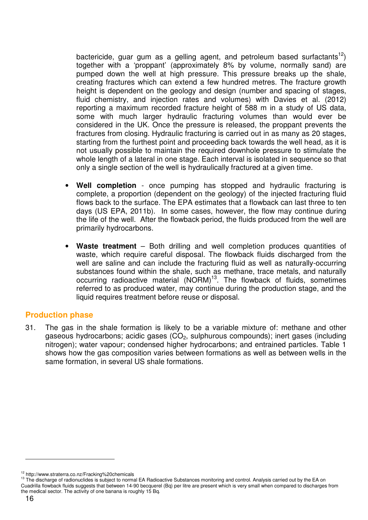bactericide, guar gum as a gelling agent, and petroleum based surfactants<sup>12</sup>) together with a 'proppant' (approximately 8% by volume, normally sand) are pumped down the well at high pressure. This pressure breaks up the shale, creating fractures which can extend a few hundred metres. The fracture growth height is dependent on the geology and design (number and spacing of stages, fluid chemistry, and injection rates and volumes) with Davies et al. (2012) reporting a maximum recorded fracture height of 588 m in a study of US data, some with much larger hydraulic fracturing volumes than would ever be considered in the UK. Once the pressure is released, the proppant prevents the fractures from closing. Hydraulic fracturing is carried out in as many as 20 stages, starting from the furthest point and proceeding back towards the well head, as it is not usually possible to maintain the required downhole pressure to stimulate the whole length of a lateral in one stage. Each interval is isolated in sequence so that only a single section of the well is hydraulically fractured at a given time.

- **Well completion** once pumping has stopped and hydraulic fracturing is complete, a proportion (dependent on the geology) of the injected fracturing fluid flows back to the surface. The EPA estimates that a flowback can last three to ten days (US EPA, 2011b). In some cases, however, the flow may continue during the life of the well. After the flowback period, the fluids produced from the well are primarily hydrocarbons.
- **Waste treatment** Both drilling and well completion produces quantities of waste, which require careful disposal. The flowback fluids discharged from the well are saline and can include the fracturing fluid as well as naturally-occurring substances found within the shale, such as methane, trace metals, and naturally occurring radioactive material (NORM)<sup>13</sup>. The flowback of fluids, sometimes referred to as produced water, may continue during the production stage, and the liquid requires treatment before reuse or disposal.

#### **Production phase**

31. The gas in the shale formation is likely to be a variable mixture of: methane and other gaseous hydrocarbons; acidic gases  $(CO<sub>2</sub>)$ , sulphurous compounds); inert gases (including nitrogen); water vapour; condensed higher hydrocarbons; and entrained particles. Table 1 shows how the gas composition varies between formations as well as between wells in the same formation, in several US shale formations.

<sup>12</sup> http://www.straterra.co.nz/Fracking%20chemicals

<sup>&</sup>lt;sup>13</sup> The discharge of radionuclides is subject to normal EA Radioactive Substances monitoring and control. Analysis carried out by the EA on Cuadrilla flowback fluids suggests that between 14-90 becquerel (Bq) per litre are present which is very small when compared to discharges from the medical sector. The activity of one banana is roughly 15 Bq.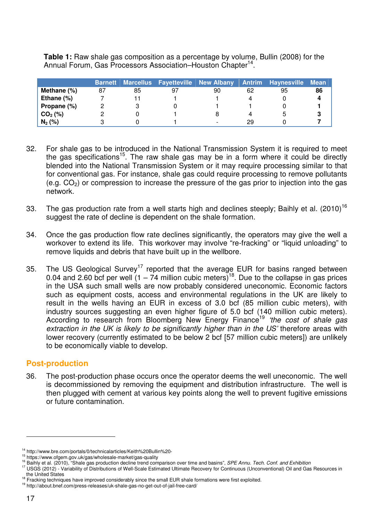|                | <b>Barnett</b> |    | Marcellus Fayetteville New Albany |                          |    | <b>Antrim Haynesville</b> | <b>Mean</b> |
|----------------|----------------|----|-----------------------------------|--------------------------|----|---------------------------|-------------|
| Methane $(\%)$ | 87             | 85 | 97                                | 90                       | 62 | 95                        | 86          |
| Ethane $(%)$   |                |    |                                   |                          | 4  |                           |             |
| Propane (%)    |                |    |                                   |                          |    |                           |             |
| $CO2$ (%)      |                |    |                                   |                          | 4  |                           | З           |
| $N_2$ (%)      |                |    |                                   | $\overline{\phantom{0}}$ | 29 |                           |             |

**Table 1:** Raw shale gas composition as a percentage by volume, Bullin (2008) for the Annual Forum, Gas Processors Association-Houston Chapter<sup>14</sup>.

- 32. For shale gas to be introduced in the National Transmission System it is required to meet the gas specifications<sup>15</sup>. The raw shale gas may be in a form where it could be directly blended into the National Transmission System or it may require processing similar to that for conventional gas. For instance, shale gas could require processing to remove pollutants  $(e.g. CO<sub>2</sub>)$  or compression to increase the pressure of the gas prior to injection into the gas network.
- 33. The gas production rate from a well starts high and declines steeply; Baihly et al. (2010)<sup>16</sup> suggest the rate of decline is dependent on the shale formation.
- 34. Once the gas production flow rate declines significantly, the operators may give the well a workover to extend its life. This workover may involve "re-fracking" or "liquid unloading" to remove liquids and debris that have built up in the wellbore.
- 35. The US Geological Survey<sup>17</sup> reported that the average EUR for basins ranged between 0.04 and 2.60 bcf per well  $(1 - 74$  million cubic meters)<sup>18</sup>. Due to the collapse in gas prices in the USA such small wells are now probably considered uneconomic. Economic factors such as equipment costs, access and environmental regulations in the UK are likely to result in the wells having an EUR in excess of 3.0 bcf (85 million cubic meters), with industry sources suggesting an even higher figure of 5.0 bcf (140 million cubic meters). According to research from Bloomberg New Energy Finance<sup>19</sup> 'the cost of shale gas extraction in the UK is likely to be significantly higher than in the US' therefore areas with lower recovery (currently estimated to be below 2 bcf [57 million cubic meters]) are unlikely to be economically viable to develop.

#### **Post-production**

36. The post-production phase occurs once the operator deems the well uneconomic. The well is decommissioned by removing the equipment and distribution infrastructure. The well is then plugged with cement at various key points along the well to prevent fugitive emissions or future contamination.

<sup>&</sup>lt;sup>14</sup> http://www.bre.com/portals/0/technicalarticles/Keith%20Bullin%20-

<sup>15</sup> https://www.ofgem.gov.uk/gas/wholesale-market/gas-quality

<sup>&</sup>lt;sup>16</sup> Baihly et al. (2010), "Shale gas production decline trend comparison over time and basins", SPE Annu. Tech. Conf. and Exhibition

<sup>&</sup>lt;sup>17</sup> USGS (2012) - Variability of Distributions of Well-Scale Estimated Ultimate Recovery for Continuous (Unconventional) Oil and Gas Resources in the United States

<sup>&</sup>lt;sup>18</sup> Fracking techniques have improved considerably since the small EUR shale formations were first exploited.

<sup>19</sup> http://about.bnef.com/press-releases/uk-shale-gas-no-get-out-of-jail-free-card/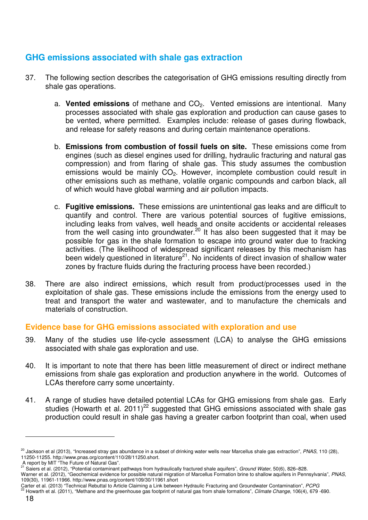# **GHG emissions associated with shale gas extraction**

- 37. The following section describes the categorisation of GHG emissions resulting directly from shale gas operations.
	- a. Vented emissions of methane and CO<sub>2</sub>. Vented emissions are intentional. Many processes associated with shale gas exploration and production can cause gases to be vented, where permitted. Examples include: release of gases during flowback, and release for safety reasons and during certain maintenance operations.
	- b. **Emissions from combustion of fossil fuels on site.** These emissions come from engines (such as diesel engines used for drilling, hydraulic fracturing and natural gas compression) and from flaring of shale gas. This study assumes the combustion emissions would be mainly CO<sub>2</sub>. However, incomplete combustion could result in other emissions such as methane, volatile organic compounds and carbon black, all of which would have global warming and air pollution impacts.
	- c. **Fugitive emissions.** These emissions are unintentional gas leaks and are difficult to quantify and control. There are various potential sources of fugitive emissions, including leaks from valves, well heads and onsite accidents or accidental releases from the well casing into groundwater.<sup>20</sup> It has also been suggested that it may be possible for gas in the shale formation to escape into ground water due to fracking activities. (The likelihood of widespread significant releases by this mechanism has been widely questioned in literature<sup>21</sup>. No incidents of direct invasion of shallow water zones by fracture fluids during the fracturing process have been recorded.)
- 38. There are also indirect emissions, which result from product/processes used in the exploitation of shale gas. These emissions include the emissions from the energy used to treat and transport the water and wastewater, and to manufacture the chemicals and materials of construction.

#### **Evidence base for GHG emissions associated with exploration and use**

- 39. Many of the studies use life-cycle assessment (LCA) to analyse the GHG emissions associated with shale gas exploration and use.
- 40. It is important to note that there has been little measurement of direct or indirect methane emissions from shale gas exploration and production anywhere in the world. Outcomes of LCAs therefore carry some uncertainty.
- 41. A range of studies have detailed potential LCAs for GHG emissions from shale gas. Early studies (Howarth et al. 2011)<sup>22</sup> suggested that GHG emissions associated with shale gas production could result in shale gas having a greater carbon footprint than coal, when used

<sup>&</sup>lt;sup>20</sup> Jackson et al (2013), "Increased stray gas abundance in a subset of drinking water wells near Marcellus shale gas extraction", PNAS, 110 (28), 11250-11255. http://www.pnas.org/content/110/28/11250.short.

A report by MIT "The Future of Natural Gas".<br><sup>21</sup> Seiere at al. (2012).<sup>77</sup>

<sup>&</sup>lt;sup>21</sup> Saiers et al. (2012), "Potential contaminant pathways from hydraulically fractured shale aquifers", Ground Water, 50(6), 826–828.

Warner et al. (2012), "Geochemical evidence for possible natural migration of Marcellus Formation brine to shallow aquifers in Pennsylvania", PNAS, 109(30), 11961-11966. http://www.pnas.org/content/109/30/11961.short

Carter et al. (2013) "Technical Rebuttal to Article Claiming a Link between Hydraulic Fracturing and Groundwater Contamination", PCPG

Howarth et al. (2011), "Methane and the greenhouse gas footprint of natural gas from shale formations", Climate Change, 106(4), 679 -690.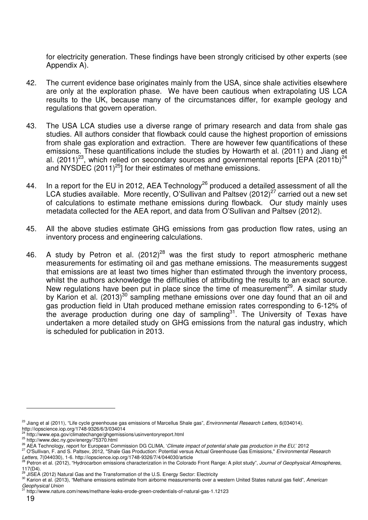for electricity generation. These findings have been strongly criticised by other experts (see Appendix A).

- 42. The current evidence base originates mainly from the USA, since shale activities elsewhere are only at the exploration phase. We have been cautious when extrapolating US LCA results to the UK, because many of the circumstances differ, for example geology and regulations that govern operation.
- 43. The USA LCA studies use a diverse range of primary research and data from shale gas studies. All authors consider that flowback could cause the highest proportion of emissions from shale gas exploration and extraction. There are however few quantifications of these emissions. These quantifications include the studies by Howarth et al. (2011) and Jiang et al.  $(2011)^{23}$ , which relied on secondary sources and governmental reports  $[ÉPA (2011b)<sup>24</sup>$ and NYSDEC (2011)<sup>25</sup>] for their estimates of methane emissions.
- 44. In a report for the EU in 2012, AEA Technology<sup>26</sup> produced a detailed assessment of all the LCA studies available. More recently, O'Sullivan and Paltsev (2012)<sup>27</sup> carried out a new set of calculations to estimate methane emissions during flowback. Our study mainly uses metadata collected for the AEA report, and data from O'Sullivan and Paltsev (2012).
- 45. All the above studies estimate GHG emissions from gas production flow rates, using an inventory process and engineering calculations.
- 46. A study by Petron et al.  $(2012)^{28}$  was the first study to report atmospheric methane measurements for estimating oil and gas methane emissions. The measurements suggest that emissions are at least two times higher than estimated through the inventory process, whilst the authors acknowledge the difficulties of attributing the results to an exact source. New regulations have been put in place since the time of measurement<sup>29</sup>. A similar study by Karion et al. (2013)<sup>30</sup> sampling methane emissions over one day found that an oil and gas production field in Utah produced methane emission rates corresponding to 6-12% of the average production during one day of sampling<sup>31</sup>. The University of Texas have undertaken a more detailed study on GHG emissions from the natural gas industry, which is scheduled for publication in 2013.

<sup>27</sup> O'Sullivan, F. and S. Paltsev, 2012, "Shale Gas Production: Potential versus Actual Greenhouse Gas Emissions," Environmental Research

<sup>&</sup>lt;sup>23</sup> Jiang et al (2011), "Life cycle greenhouse gas emissions of Marcellus Shale gas", Environmental Research Letters, 6(034014). http://iopscience.iop.org/1748-9326/6/3/034014

<sup>24</sup> http://www.epa.gov/climatechange/ghgemissions/usinventoryreport.html

<sup>&</sup>lt;sup>25</sup> http://www.dec.ny.gov/energy/75370.html

<sup>&</sup>lt;sup>26</sup> AEA Technology, report for European Commission DG CLIMA, 'Climate impact of potential shale gas production in the EU,' 2012

*Letters*, 7(044030), 1-6. http://iopscience.iop.org/1748-9326/7/4/044030/article<br><sup>28</sup> Petron et al. (2012), "Hydrocarbon emissions characterization in the Colorado Front Range: A pilot study", *Journal of Geophysical Atmo* 

<sup>117(</sup>D4).<br>29 JISEA (2012) Natural Gas and the Transformation of the U.S. Energy Sector: Electricity

<sup>30</sup> Karion et al. (2013), "Methane emissions estimate from airborne measurements over a western United States natural gas field", American Geophysical Union

<sup>31</sup> http://www.nature.com/news/methane-leaks-erode-green-credentials-of-natural-gas-1.12123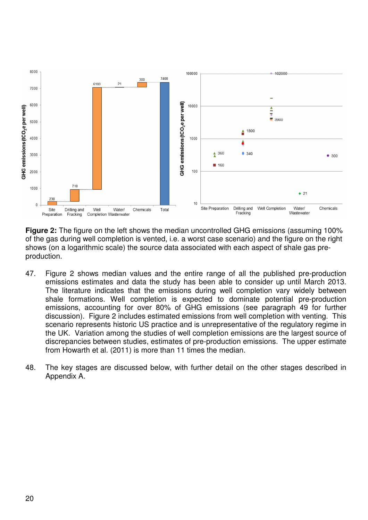

**Figure 2:** The figure on the left shows the median uncontrolled GHG emissions (assuming 100% of the gas during well completion is vented, i.e. a worst case scenario) and the figure on the right shows (on a logarithmic scale) the source data associated with each aspect of shale gas preproduction.

- 47. Figure 2 shows median values and the entire range of all the published pre-production emissions estimates and data the study has been able to consider up until March 2013. The literature indicates that the emissions during well completion vary widely between shale formations. Well completion is expected to dominate potential pre-production emissions, accounting for over 80% of GHG emissions (see paragraph 49 for further discussion). Figure 2 includes estimated emissions from well completion with venting. This scenario represents historic US practice and is unrepresentative of the regulatory regime in the UK. Variation among the studies of well completion emissions are the largest source of discrepancies between studies, estimates of pre-production emissions. The upper estimate from Howarth et al. (2011) is more than 11 times the median.
- 48. The key stages are discussed below, with further detail on the other stages described in Appendix A.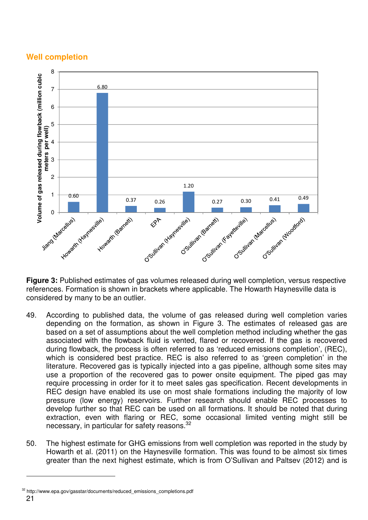# **Well completion**



**Figure 3:** Published estimates of gas volumes released during well completion, versus respective references. Formation is shown in brackets where applicable. The Howarth Haynesville data is considered by many to be an outlier.

- 49. According to published data, the volume of gas released during well completion varies depending on the formation, as shown in Figure 3. The estimates of released gas are based on a set of assumptions about the well completion method including whether the gas associated with the flowback fluid is vented, flared or recovered. If the gas is recovered during flowback, the process is often referred to as 'reduced emissions completion', (REC), which is considered best practice. REC is also referred to as 'green completion' in the literature. Recovered gas is typically injected into a gas pipeline, although some sites may use a proportion of the recovered gas to power onsite equipment. The piped gas may require processing in order for it to meet sales gas specification. Recent developments in REC design have enabled its use on most shale formations including the majority of low pressure (low energy) reservoirs. Further research should enable REC processes to develop further so that REC can be used on all formations. It should be noted that during extraction, even with flaring or REC, some occasional limited venting might still be necessary, in particular for safety reasons.<sup>32</sup>
- 50. The highest estimate for GHG emissions from well completion was reported in the study by Howarth et al. (2011) on the Haynesville formation. This was found to be almost six times greater than the next highest estimate, which is from O'Sullivan and Paltsev (2012) and is

<sup>32</sup> http://www.epa.gov/gasstar/documents/reduced\_emissions\_completions.pdf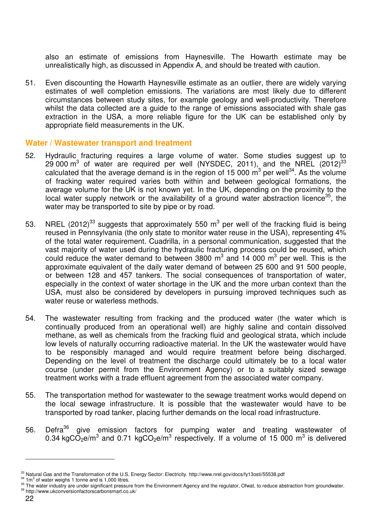also an estimate of emissions from Haynesville. The Howarth estimate may be unrealistically high, as discussed in Appendix A, and should be treated with caution.

51. Even discounting the Howarth Haynesville estimate as an outlier, there are widely varying estimates of well completion emissions. The variations are most likely due to different circumstances between study sites, for example geology and well-productivity. Therefore whilst the data collected are a guide to the range of emissions associated with shale gas extraction in the USA, a more reliable figure for the UK can be established only by appropriate field measurements in the UK.

#### **Water / Wastewater transport and treatment**

- 52. Hydraulic fracturing requires a large volume of water. Some studies suggest up to 29 000  $\text{m}^3$  of water are required per well (NYSDEC, 2011), and the NREL (2012)<sup>33</sup> calculated that the average demand is in the region of 15 000  $\text{m}^3$  per well<sup>34</sup>. As the volume of fracking water required varies both within and between geological formations, the average volume for the UK is not known yet. In the UK, depending on the proximity to the local water supply network or the availability of a ground water abstraction licence<sup>35</sup>, the water may be transported to site by pipe or by road.
- 53. NREL (2012)<sup>33</sup> suggests that approximately 550 m<sup>3</sup> per well of the fracking fluid is being reused in Pennsylvania (the only state to monitor water reuse in the USA), representing 4% of the total water requirement. Cuadrilla, in a personal communication, suggested that the vast majority of water used during the hydraulic fracturing process could be reused, which could reduce the water demand to between 3800  $m^3$  and 14 000  $m^3$  per well. This is the approximate equivalent of the daily water demand of between 25 600 and 91 500 people, or between 128 and 457 tankers. The social consequences of transportation of water, especially in the context of water shortage in the UK and the more urban context than the USA, must also be considered by developers in pursuing improved techniques such as water reuse or waterless methods.
- 54. The wastewater resulting from fracking and the produced water (the water which is continually produced from an operational well) are highly saline and contain dissolved methane, as well as chemicals from the fracking fluid and geological strata, which include low levels of naturally occurring radioactive material. In the UK the wastewater would have to be responsibly managed and would require treatment before being discharged. Depending on the level of treatment the discharge could ultimately be to a local water course (under permit from the Environment Agency) or to a suitably sized sewage treatment works with a trade effluent agreement from the associated water company.
- 55. The transportation method for wastewater to the sewage treatment works would depend on the local sewage infrastructure. It is possible that the wastewater would have to be transported by road tanker, placing further demands on the local road infrastructure.
- 56. Defra<sup>36</sup> give emission factors for pumping water and treating wastewater of 0.34 kgCO<sub>2</sub>e/m<sup>3</sup> and 0.71 kgCO<sub>2</sub>e/m<sup>3</sup> respectively. If a volume of 15 000 m<sup>3</sup> is delivered

<sup>33</sup> Natural Gas and the Transformation of the U.S. Energy Sector: Electricity. http://www.nrel.gov/docs/fy13osti/55538.pdf

 $34$  1m<sup>3</sup> of water weighs 1 tonne and is 1,000 litres.

<sup>&</sup>lt;sup>35</sup> The water industry are under significant pressure from the Environment Agency and the regulator, Ofwat, to reduce abstraction from groundwater. <sup>36</sup> http://www.ukconversionfactorscarbonsmart.co.uk/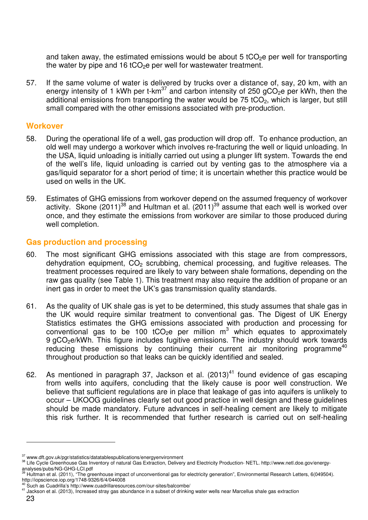and taken away, the estimated emissions would be about 5 tCO<sub>2</sub>e per well for transporting the water by pipe and 16 tCO<sub>2</sub>e per well for wastewater treatment.

57. If the same volume of water is delivered by trucks over a distance of, say, 20 km, with an energy intensity of 1 kWh per t-km<sup>37</sup> and carbon intensity of 250 gCO<sub>2</sub>e per kWh, then the additional emissions from transporting the water would be  $75$  tCO<sub>2</sub>, which is larger, but still small compared with the other emissions associated with pre-production.

#### **Workover**

- 58. During the operational life of a well, gas production will drop off. To enhance production, an old well may undergo a workover which involves re-fracturing the well or liquid unloading. In the USA, liquid unloading is initially carried out using a plunger lift system. Towards the end of the well's life, liquid unloading is carried out by venting gas to the atmosphere via a gas/liquid separator for a short period of time; it is uncertain whether this practice would be used on wells in the UK.
- 59. Estimates of GHG emissions from workover depend on the assumed frequency of workover activity. Skone (2011)<sup>38</sup> and Hultman et al. (2011)<sup>39</sup> assume that each well is worked over once, and they estimate the emissions from workover are similar to those produced during well completion.

## **Gas production and processing**

- 60. The most significant GHG emissions associated with this stage are from compressors, dehydration equipment,  $CO<sub>2</sub>$  scrubbing, chemical processing, and fugitive releases. The treatment processes required are likely to vary between shale formations, depending on the raw gas quality (see Table 1). This treatment may also require the addition of propane or an inert gas in order to meet the UK's gas transmission quality standards.
- 61. As the quality of UK shale gas is yet to be determined, this study assumes that shale gas in the UK would require similar treatment to conventional gas. The Digest of UK Energy Statistics estimates the GHG emissions associated with production and processing for conventional gas to be 100 tCO<sub>2</sub>e per million  $m^3$  which equates to approximately 9 gCO<sub>2</sub>e/kWh. This figure includes fugitive emissions. The industry should work towards reducing these emissions by continuing their current air monitoring programme<sup>40</sup> throughout production so that leaks can be quickly identified and sealed.
- 62. As mentioned in paragraph 37, Jackson et al.  $(2013)^{41}$  found evidence of gas escaping from wells into aquifers, concluding that the likely cause is poor well construction. We believe that sufficient regulations are in place that leakage of gas into aquifers is unlikely to occur – UKOOG guidelines clearly set out good practice in well design and these guidelines should be made mandatory. Future advances in self-healing cement are likely to mitigate this risk further. It is recommended that further research is carried out on self-healing

<sup>37</sup> www.dft.gov.uk/pgr/statistics/datatablespublications/energyenvironment

<sup>38</sup> Life Cycle Greenhouse Gas Inventory of natural Gas Extraction, Delivery and Electricity Production- NETL. http://www.netl.doe.gov/energy-

analyses/pubs/NG-GHG-LCI.pdf<br><sup>39</sup> Hultman et al. (2011), "The greenhouse impact of unconventional gas for electricity generation", Environmental Research Letters, 6(049504). http://iopscience.iop.org/1748-9326/6/4/044008

 $40$  Such as Cuadrilla's http://www.cuadrillaresources.com/our-sites/balcombe/

<sup>41</sup> Jackson et al. (2013), Increased stray gas abundance in a subset of drinking water wells near Marcellus shale gas extraction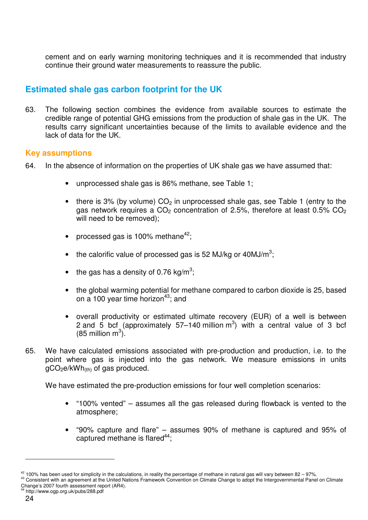cement and on early warning monitoring techniques and it is recommended that industry continue their ground water measurements to reassure the public.

# **Estimated shale gas carbon footprint for the UK**

63. The following section combines the evidence from available sources to estimate the credible range of potential GHG emissions from the production of shale gas in the UK. The results carry significant uncertainties because of the limits to available evidence and the lack of data for the UK.

#### **Key assumptions**

- 64. In the absence of information on the properties of UK shale gas we have assumed that:
	- unprocessed shale gas is 86% methane, see Table 1;
	- there is 3% (by volume)  $CO<sub>2</sub>$  in unprocessed shale gas, see Table 1 (entry to the gas network requires a  $CO<sub>2</sub>$  concentration of 2.5%, therefore at least 0.5%  $CO<sub>2</sub>$ will need to be removed);
	- processed gas is 100% methane<sup>42</sup>;
	- the calorific value of processed gas is 52 MJ/kg or 40MJ/ $m^3$ ;
	- the gas has a density of 0.76 kg/m<sup>3</sup>;
	- the global warming potential for methane compared to carbon dioxide is 25, based on a 100 year time horizon<sup>43</sup>; and
	- overall productivity or estimated ultimate recovery (EUR) of a well is between 2 and 5 bcf (approximately 57–140 million  $m^3$ ) with a central value of 3 bcf  $(85 \text{ million m}^3)$ .
- 65. We have calculated emissions associated with pre-production and production, i.e. to the point where gas is injected into the gas network. We measure emissions in units  $qCO<sub>2</sub>e/kWh<sub>(th)</sub>$  of gas produced.

We have estimated the pre-production emissions for four well completion scenarios:

- "100% vented" assumes all the gas released during flowback is vented to the atmosphere;
- "90% capture and flare" assumes 90% of methane is captured and 95% of captured methane is flared  $44$ :

http://www.ogp.org.uk/pubs/288.pdf

 $42$  100% has been used for simplicity in the calculations, in reality the percentage of methane in natural gas will vary between 82 - 97%.

<sup>43</sup> Consistent with an agreement at the United Nations Framework Convention on Climate Change to adopt the Intergovernmental Panel on Climate Change's 2007 fourth assessment report (AR4).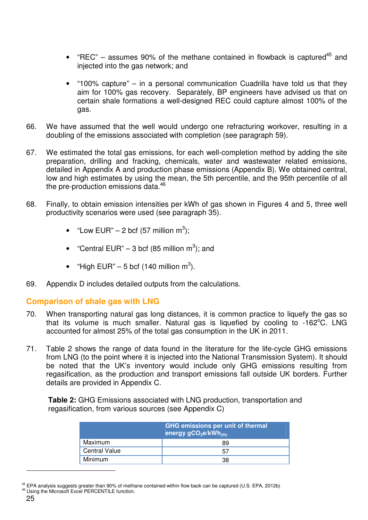- "REC" assumes 90% of the methane contained in flowback is captured<sup>45</sup> and injected into the gas network; and
- "100% capture" in a personal communication Cuadrilla have told us that they aim for 100% gas recovery. Separately, BP engineers have advised us that on certain shale formations a well-designed REC could capture almost 100% of the gas.
- 66. We have assumed that the well would undergo one refracturing workover, resulting in a doubling of the emissions associated with completion (see paragraph 59).
- 67. We estimated the total gas emissions, for each well-completion method by adding the site preparation, drilling and fracking, chemicals, water and wastewater related emissions, detailed in Appendix A and production phase emissions (Appendix B). We obtained central, low and high estimates by using the mean, the 5th percentile, and the 95th percentile of all the pre-production emissions data.<sup>46</sup>
- 68. Finally, to obtain emission intensities per kWh of gas shown in Figures 4 and 5, three well productivity scenarios were used (see paragraph 35).
	- "Low EUR" 2 bcf (57 million m<sup>3</sup>);
	- "Central EUR" 3 bcf (85 million  $m^3$ ); and
	- "High EUR" 5 bcf (140 million m<sup>3</sup>).
- 69. Appendix D includes detailed outputs from the calculations.

#### **Comparison of shale gas with LNG**

- 70. When transporting natural gas long distances, it is common practice to liquefy the gas so that its volume is much smaller. Natural gas is liquefied by cooling to  $-162^{\circ}$ C. LNG accounted for almost 25% of the total gas consumption in the UK in 2011.
- 71. Table 2 shows the range of data found in the literature for the life-cycle GHG emissions from LNG (to the point where it is injected into the National Transmission System). It should be noted that the UK's inventory would include only GHG emissions resulting from regasification, as the production and transport emissions fall outside UK borders. Further details are provided in Appendix C.

**Table 2:** GHG Emissions associated with LNG production, transportation and regasification, from various sources (see Appendix C)

|                      | <b>GHG emissions per unit of thermal</b><br>energy gCO <sub>2</sub> e/kWh <sub>(th)</sub> |
|----------------------|-------------------------------------------------------------------------------------------|
| Maximum              | 89                                                                                        |
| <b>Central Value</b> | 57                                                                                        |
| Minimum              | 38                                                                                        |

 $45$  EPA analysis suggests greater than 90% of methane contained within flow back can be captured (U.S. EPA, 2012b) 46 Using the Microsoft Excel PERCENTILE function.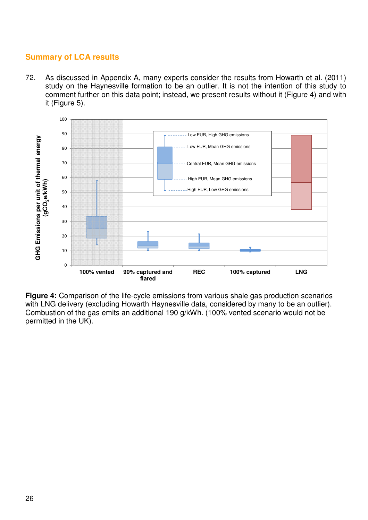# **Summary of LCA results**

72. As discussed in Appendix A, many experts consider the results from Howarth et al. (2011) study on the Haynesville formation to be an outlier. It is not the intention of this study to comment further on this data point; instead, we present results without it (Figure 4) and with it (Figure 5).



**Figure 4:** Comparison of the life-cycle emissions from various shale gas production scenarios with LNG delivery (excluding Howarth Haynesville data, considered by many to be an outlier). Combustion of the gas emits an additional 190 g/kWh. (100% vented scenario would not be permitted in the UK).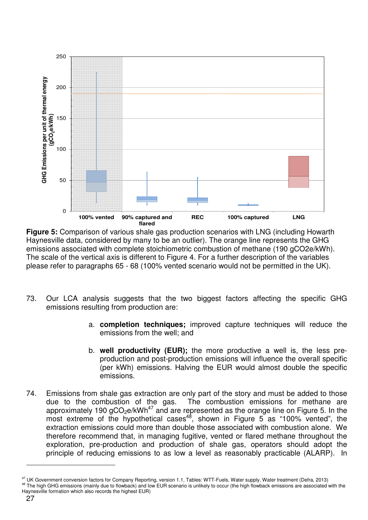

**Figure 5:** Comparison of various shale gas production scenarios with LNG (including Howarth Haynesville data, considered by many to be an outlier). The orange line represents the GHG emissions associated with complete stoichiometric combustion of methane (190 gCO2e/kWh). The scale of the vertical axis is different to Figure 4. For a further description of the variables please refer to paragraphs 65 - 68 (100% vented scenario would not be permitted in the UK).

- 73. Our LCA analysis suggests that the two biggest factors affecting the specific GHG emissions resulting from production are:
	- a. **completion techniques;** improved capture techniques will reduce the emissions from the well; and
	- b. **well productivity (EUR);** the more productive a well is, the less preproduction and post-production emissions will influence the overall specific (per kWh) emissions. Halving the EUR would almost double the specific emissions.
- 74. Emissions from shale gas extraction are only part of the story and must be added to those due to the combustion of the gas. The combustion emissions for methane are approximately 190  $qCO<sub>2</sub>e/kWh<sup>47</sup>$  and are represented as the orange line on Figure 5. In the most extreme of the hypothetical cases<sup>48</sup>, shown in Figure 5 as "100% vented", the extraction emissions could more than double those associated with combustion alone. We therefore recommend that, in managing fugitive, vented or flared methane throughout the exploration, pre-production and production of shale gas, operators should adopt the principle of reducing emissions to as low a level as reasonably practicable (ALARP). In

<sup>&</sup>lt;sup>47</sup> UK Government conversion factors for Company Reporting, version 1.1, Tables: WTT-Fuels, Water supply, Water treatment (Defra, 2013)

<sup>&</sup>lt;sup>48</sup> The high GHG emissions (mainly due to flowback) and low EUR scenario is unlikely to occur (the high flowback emissions are associated with the Haynesville formation which also records the highest EUR)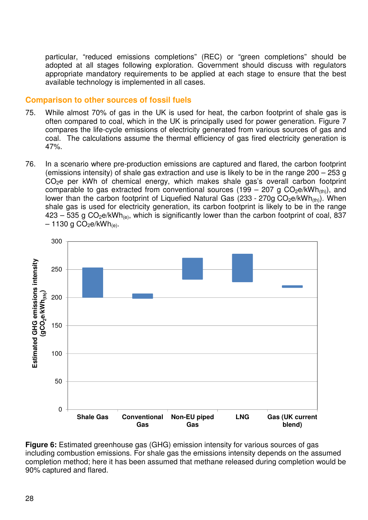particular, "reduced emissions completions" (REC) or "green completions" should be adopted at all stages following exploration. Government should discuss with regulators appropriate mandatory requirements to be applied at each stage to ensure that the best available technology is implemented in all cases.

#### **Comparison to other sources of fossil fuels**

- 75. While almost 70% of gas in the UK is used for heat, the carbon footprint of shale gas is often compared to coal, which in the UK is principally used for power generation. Figure 7 compares the life-cycle emissions of electricity generated from various sources of gas and coal. The calculations assume the thermal efficiency of gas fired electricity generation is 47%.
- 76. In a scenario where pre-production emissions are captured and flared, the carbon footprint (emissions intensity) of shale gas extraction and use is likely to be in the range 200 – 253 g CO<sub>2</sub>e per kWh of chemical energy, which makes shale gas's overall carbon footprint comparable to gas extracted from conventional sources (199 – 207 g  $CO<sub>2</sub>e/kWh<sub>(th)</sub>$ ), and lower than the carbon footprint of Liquefied Natural Gas (233 - 270g CO<sub>2</sub>e/kWh<sub>(th)</sub>). When shale gas is used for electricity generation, its carbon footprint is likely to be in the range  $423 - 535$  g CO<sub>2</sub>e/kWh<sub>(e)</sub>, which is significantly lower than the carbon footprint of coal, 837  $-1130$  g CO<sub>2</sub>e/kWh<sub>(e)</sub>.



**Figure 6:** Estimated greenhouse gas (GHG) emission intensity for various sources of gas including combustion emissions. For shale gas the emissions intensity depends on the assumed completion method; here it has been assumed that methane released during completion would be 90% captured and flared.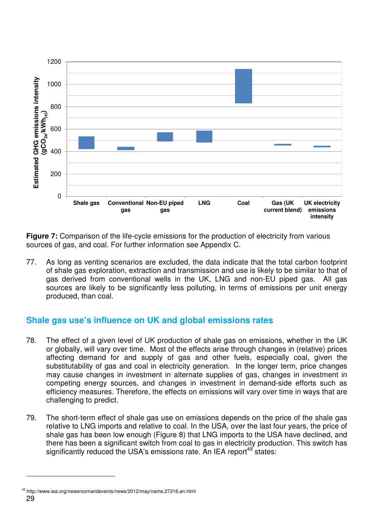

**Figure 7:** Comparison of the life-cycle emissions for the production of electricity from various sources of gas, and coal. For further information see Appendix C.

77. As long as venting scenarios are excluded, the data indicate that the total carbon footprint of shale gas exploration, extraction and transmission and use is likely to be similar to that of gas derived from conventional wells in the UK, LNG and non-EU piped gas. All gas sources are likely to be significantly less polluting, in terms of emissions per unit energy produced, than coal.

# **Shale gas use's influence on UK and global emissions rates**

- 78. The effect of a given level of UK production of shale gas on emissions, whether in the UK or globally, will vary over time. Most of the effects arise through changes in (relative) prices affecting demand for and supply of gas and other fuels, especially coal, given the substitutability of gas and coal in electricity generation. In the longer term, price changes may cause changes in investment in alternate supplies of gas, changes in investment in competing energy sources, and changes in investment in demand-side efforts such as efficiency measures. Therefore, the effects on emissions will vary over time in ways that are challenging to predict.
- 79. The short-term effect of shale gas use on emissions depends on the price of the shale gas relative to LNG imports and relative to coal. In the USA, over the last four years, the price of shale gas has been low enough (Figure 8) that LNG imports to the USA have declined, and there has been a significant switch from coal to gas in electricity production. This switch has significantly reduced the USA's emissions rate. An IEA report<sup>49</sup> states:

<sup>29</sup>  <sup>49</sup> http://www.iea.org/newsroomandevents/news/2012/may/name,27216,en.html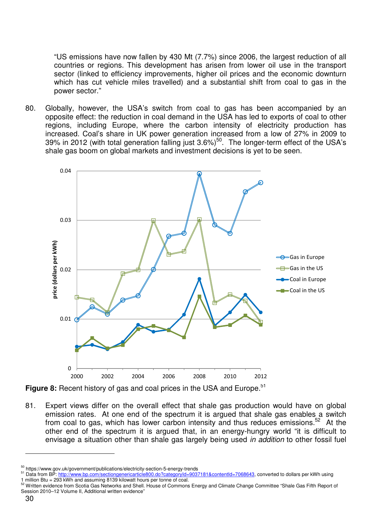"US emissions have now fallen by 430 Mt (7.7%) since 2006, the largest reduction of all countries or regions. This development has arisen from lower oil use in the transport sector (linked to efficiency improvements, higher oil prices and the economic downturn which has cut vehicle miles travelled) and a substantial shift from coal to gas in the power sector."

80. Globally, however, the USA's switch from coal to gas has been accompanied by an opposite effect: the reduction in coal demand in the USA has led to exports of coal to other regions, including Europe, where the carbon intensity of electricity production has increased. Coal's share in UK power generation increased from a low of 27% in 2009 to 39% in 2012 (with total generation falling just 3.6%)<sup>50</sup>. The longer-term effect of the USA's shale gas boom on global markets and investment decisions is yet to be seen.



Figure 8: Recent history of gas and coal prices in the USA and Europe.<sup>51</sup>

81. Expert views differ on the overall effect that shale gas production would have on global emission rates. At one end of the spectrum it is argued that shale gas enables a switch from coal to gas, which has lower carbon intensity and thus reduces emissions.<sup>52</sup> At the other end of the spectrum it is argued that, in an energy-hungry world "it is difficult to envisage a situation other than shale gas largely being used in addition to other fossil fuel

<sup>50</sup> https://www.gov.uk/government/publications/electricity-section-5-energy-trends

<sup>&</sup>lt;sup>51</sup> Data from BP: http://www.bp.com/sectiongenericarticle800.do?categoryId=9037181&contentId=7068643, converted to dollars per kWh using 1 million Btu = 293 kWh and assuming 8139 kilowatt hours per tonne of coal.

<sup>&</sup>lt;sup>52</sup> Written evidence from Scotia Gas Networks and Shell. House of Commons Energy and Climate Change Committee "Shale Gas Fifth Report of Session 2010–12 Volume II, Additional written evidence"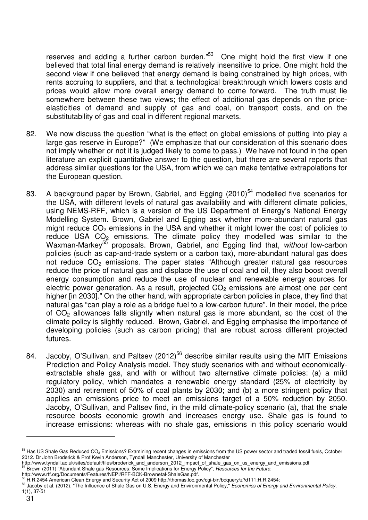reserves and adding a further carbon burden."<sup>53</sup> One might hold the first view if one believed that total final energy demand is relatively insensitive to price. One might hold the second view if one believed that energy demand is being constrained by high prices, with rents accruing to suppliers, and that a technological breakthrough which lowers costs and prices would allow more overall energy demand to come forward. The truth must lie somewhere between these two views; the effect of additional gas depends on the priceelasticities of demand and supply of gas and coal, on transport costs, and on the substitutability of gas and coal in different regional markets.

- 82. We now discuss the question "what is the effect on global emissions of putting into play a large gas reserve in Europe?" (We emphasize that our consideration of this scenario does not imply whether or not it is judged likely to come to pass.) We have not found in the open literature an explicit quantitative answer to the question, but there are several reports that address similar questions for the USA, from which we can make tentative extrapolations for the European question.
- 83. A background paper by Brown, Gabriel, and Egging  $(2010)^{54}$  modelled five scenarios for the USA, with different levels of natural gas availability and with different climate policies, using NEMS-RFF, which is a version of the US Department of Energy's National Energy Modelling System. Brown, Gabriel and Egging ask whether more-abundant natural gas might reduce  $CO<sub>2</sub>$  emissions in the USA and whether it might lower the cost of policies to reduce USA  $CO<sub>2</sub>$  emissions. The climate policy they modelled was similar to the Waxman-Markey<sup>55</sup> proposals. Brown, Gabriel, and Egging find that, without low-carbon policies (such as cap-and-trade system or a carbon tax), more-abundant natural gas does not reduce  $CO<sub>2</sub>$  emissions. The paper states "Although greater natural gas resources reduce the price of natural gas and displace the use of coal and oil, they also boost overall energy consumption and reduce the use of nuclear and renewable energy sources for electric power generation. As a result, projected  $CO<sub>2</sub>$  emissions are almost one per cent higher [in 2030]." On the other hand, with appropriate carbon policies in place, they find that natural gas "can play a role as a bridge fuel to a low-carbon future". In their model, the price of CO2 allowances falls slightly when natural gas is more abundant, so the cost of the climate policy is slightly reduced. Brown, Gabriel, and Egging emphasise the importance of developing policies (such as carbon pricing) that are robust across different projected futures.
- 84. Jacoby, O'Sullivan, and Paltsev (2012)<sup>56</sup> describe similar results using the MIT Emissions Prediction and Policy Analysis model. They study scenarios with and without economicallyextractable shale gas, and with or without two alternative climate policies: (a) a mild regulatory policy, which mandates a renewable energy standard (25% of electricity by 2030) and retirement of 50% of coal plants by 2030; and (b) a more stringent policy that applies an emissions price to meet an emissions target of a 50% reduction by 2050. Jacoby, O'Sullivan, and Paltsev find, in the mild climate-policy scenario (a), that the shale resource boosts economic growth and increases energy use. Shale gas is found to increase emissions: whereas with no shale gas, emissions in this policy scenario would

<sup>53</sup> Has US Shale Gas Reduced CO<sub>2</sub> Emissions? Examining recent changes in emissions from the US power sector and traded fossil fuels, October 2012. Dr John Broderick & Prof Kevin Anderson, Tyndall Manchester, University of Manchester

http://www.tyndall.ac.uk/sites/default/files/broderick\_and\_anderson\_2012\_impact\_of\_shale\_gas\_on\_us\_energy\_and\_emissions.pdf<br>54 Brown (2011) "Abundant Shale\_gas\_Dessus

<sup>&</sup>lt;sup>54</sup> Brown (2011) "Abundant Shale gas Resources: Some Implications for Energy Policy", Resources for the Future.

http://www.rff.org/Documents/Features/NEPI/RFF-BCK-Brownetal-ShaleGas.pdf.

<sup>55</sup> H.R.2454 American Clean Energy and Security Act of 2009 http://thomas.loc.gov/cgi-bin/bdquery/z?d111:H.R.2454:

<sup>&</sup>lt;sup>56</sup> Jacoby et al. (2012), "The Influence of Shale Gas on U.S. Energy and Environmental Policy," Economics of Energy and Environmental Policy, 1(1), 37-51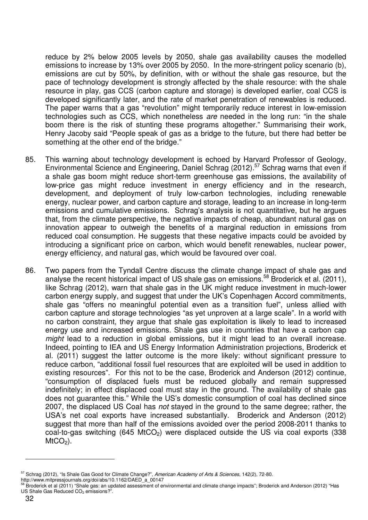reduce by 2% below 2005 levels by 2050, shale gas availability causes the modelled emissions to increase by 13% over 2005 by 2050. In the more-stringent policy scenario (b), emissions are cut by 50%, by definition, with or without the shale gas resource, but the pace of technology development is strongly affected by the shale resource: with the shale resource in play, gas CCS (carbon capture and storage) is developed earlier, coal CCS is developed significantly later, and the rate of market penetration of renewables is reduced. The paper warns that a gas "revolution" might temporarily reduce interest in low-emission technologies such as CCS, which nonetheless are needed in the long run: "in the shale boom there is the risk of stunting these programs altogether." Summarising their work, Henry Jacoby said "People speak of gas as a bridge to the future, but there had better be something at the other end of the bridge."

- 85. This warning about technology development is echoed by Harvard Professor of Geology, Environmental Science and Engineering, Daniel Schrag (2012).<sup>57</sup> Schrag warns that even if a shale gas boom might reduce short-term greenhouse gas emissions, the availability of low-price gas might reduce investment in energy efficiency and in the research, development, and deployment of truly low-carbon technologies, including renewable energy, nuclear power, and carbon capture and storage, leading to an increase in long-term emissions and cumulative emissions. Schrag's analysis is not quantitative, but he argues that, from the climate perspective, the negative impacts of cheap, abundant natural gas on innovation appear to outweigh the benefits of a marginal reduction in emissions from reduced coal consumption. He suggests that these negative impacts could be avoided by introducing a significant price on carbon, which would benefit renewables, nuclear power, energy efficiency, and natural gas, which would be favoured over coal.
- 86. Two papers from the Tyndall Centre discuss the climate change impact of shale gas and analyse the recent historical impact of US shale gas on emissions.<sup>58</sup> Broderick et al. (2011), like Schrag (2012), warn that shale gas in the UK might reduce investment in much-lower carbon energy supply, and suggest that under the UK's Copenhagen Accord commitments, shale gas "offers no meaningful potential even as a transition fuel", unless allied with carbon capture and storage technologies "as yet unproven at a large scale". In a world with no carbon constraint, they argue that shale gas exploitation is likely to lead to increased energy use and increased emissions. Shale gas use in countries that have a carbon cap might lead to a reduction in global emissions, but it might lead to an overall increase. Indeed, pointing to IEA and US Energy Information Administration projections, Broderick et al. (2011) suggest the latter outcome is the more likely: without significant pressure to reduce carbon, "additional fossil fuel resources that are exploited will be used in addition to existing resources". For this not to be the case, Broderick and Anderson (2012) continue, "consumption of displaced fuels must be reduced globally and remain suppressed indefinitely; in effect displaced coal must stay in the ground. The availability of shale gas does not guarantee this." While the US's domestic consumption of coal has declined since 2007, the displaced US Coal has not stayed in the ground to the same degree; rather, the USA's net coal exports have increased substantially. Broderick and Anderson (2012) suggest that more than half of the emissions avoided over the period 2008-2011 thanks to coal-to-gas switching (645 MtCO<sub>2</sub>) were displaced outside the US via coal exports (338  $M<sub>1</sub>CO<sub>2</sub>$ .

<sup>57</sup> Schrag (2012), "Is Shale Gas Good for Climate Change?", American Academy of Arts & Sciences, 142(2), 72-80.

http://www.mitpressjournals.org/doi/abs/10.1162/DAED\_a\_00147

Broderick et al (2011) "Shale gas: an updated assessment of environmental and climate change impacts"; Broderick and Anderson (2012) "Has US Shale Gas Reduced CO<sub>2</sub> emissions?".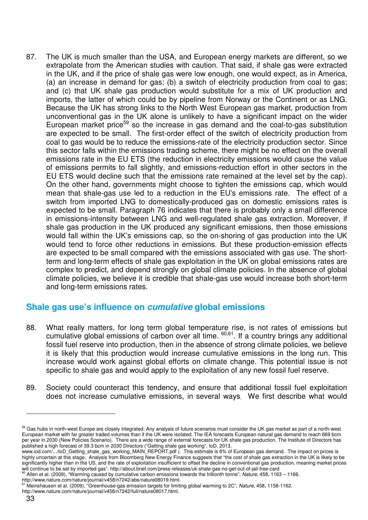87. The UK is much smaller than the USA, and European energy markets are different, so we extrapolate from the American studies with caution. That said, if shale gas were extracted in the UK, and if the price of shale gas were low enough, one would expect, as in America, (a) an increase in demand for gas; (b) a switch of electricity production from coal to gas; and (c) that UK shale gas production would substitute for a mix of UK production and imports, the latter of which could be by pipeline from Norway or the Continent or as LNG. Because the UK has strong links to the North West European gas market, production from unconventional gas in the UK alone is unlikely to have a significant impact on the wider European market price<sup>59</sup> so the increase in gas demand and the coal-to-gas substitution are expected to be small. The first-order effect of the switch of electricity production from coal to gas would be to reduce the emissions-rate of the electricity production sector. Since this sector falls within the emissions trading scheme, there might be no effect on the overall emissions rate in the EU ETS (the reduction in electricity emissions would cause the value of emissions permits to fall slightly, and emissions-reduction effort in other sectors in the EU ETS would decline such that the emissions rate remained at the level set by the cap). On the other hand, governments might choose to tighten the emissions cap, which would mean that shale-gas use led to a reduction in the EU's emissions rate. The effect of a switch from imported LNG to domestically-produced gas on domestic emissions rates is expected to be small. Paragraph 76 indicates that there is probably only a small difference in emissions-intensity between LNG and well-regulated shale gas extraction. Moreover, if shale gas production in the UK produced any significant emissions, then those emissions would fall within the UK's emissions cap, so the on-shoring of gas production into the UK would tend to force other reductions in emissions. But these production-emission effects are expected to be small compared with the emissions associated with gas use. The shortterm and long-term effects of shale gas exploitation in the UK on global emissions rates are complex to predict, and depend strongly on global climate policies. In the absence of global climate policies, we believe it is credible that shale-gas use would increase both short-term and long-term emissions rates.

# **Shale gas use's influence on cumulative global emissions**

- 88. What really matters, for long term global temperature rise, is not rates of emissions but cumulative global emissions of carbon over all time. <sup>60,61</sup>. If a country brings any additional fossil fuel reserve into production, then in the absence of strong climate policies, we believe it is likely that this production would increase cumulative emissions in the long run. This increase would work against global efforts on climate change. This potential issue is not specific to shale gas and would apply to the exploitation of any new fossil fuel reserve.
- 89. Society could counteract this tendency, and ensure that additional fossil fuel exploitation does not increase cumulative emissions, in several ways. We first describe what would

 $61$  Meinshausen et al. (2009), "Greenhouse-gas emission targets for limiting global warming to 2C", Nature, 458, 1158-1162. http://www.nature.com/nature/journal/v458/n7242/full/nature08017.html.

<sup>&</sup>lt;sup>59</sup> Gas hubs in north-west Europe are closely integrated. Any analysis of future scenarios must consider the UK gas market as part of a north-west European market with far greater traded volumes than if the UK were isolated. The IEA forecasts European natural gas demand to reach 669 bcm per year in 2030 (New Policies Scenario). There are a wide range of external forecasts for UK shale gas production. The Institute of Directors has published a high forecast of 39.3 bcm in 2030 Directors ("Getting shale gas working", IoD, 2013,

www.iod.com/.../IoD\_Getting\_shale\_gas\_working\_MAIN\_REPORT.pdf ). This estimate is 6% of European gas demand. The impact on prices is highly uncertain at this stage. Analysis from Bloomberg New Energy Finance suggests that "the cost of shale gas extraction in the UK is likely to be significantly higher than in the US, and the rate of exploitation insufficient to offset the decline in conventional gas production, meaning market prices

will continue to be set by imported gas". http://about.bnef.com/press-releases/uk-shale-gas-no-get-out-of-jail-free-card<br><sup>60</sup> Allen et al. (2009), "Warming caused by cumulative carbon emissions towards the trillionth tonne

http://www.nature.com/nature/journal/v458/n7242/abs/nature08019.html.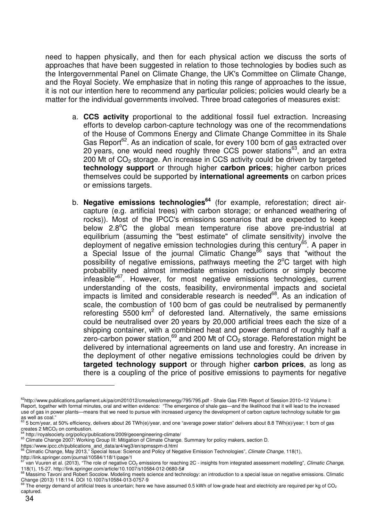need to happen physically, and then for each physical action we discuss the sorts of approaches that have been suggested in relation to those technologies by bodies such as the Intergovernmental Panel on Climate Change, the UK's Committee on Climate Change, and the Royal Society. We emphasize that in noting this range of approaches to the issue, it is not our intention here to recommend any particular policies; policies would clearly be a matter for the individual governments involved. Three broad categories of measures exist:

- a. **CCS activity** proportional to the additional fossil fuel extraction. Increasing efforts to develop carbon-capture technology was one of the recommendations of the House of Commons Energy and Climate Change Committee in its Shale Gas Report<sup>62</sup>. As an indication of scale, for every 100 bcm of gas extracted over 20 years, one would need roughly three CCS power stations<sup>63</sup>, and an extra 200 Mt of  $CO<sub>2</sub>$  storage. An increase in  $CCS$  activity could be driven by targeted **technology support** or through higher **carbon prices**; higher carbon prices themselves could be supported by **international agreements** on carbon prices or emissions targets.
- b. **Negative emissions technologies<sup>64</sup>** (for example, reforestation; direct aircapture (e.g. artificial trees) with carbon storage; or enhanced weathering of rocks)). Most of the IPCC's emissions scenarios that are expected to keep below  $2.8^{\circ}$ C the global mean temperature rise above pre-industrial at equilibrium (assuming the "best estimate" of climate sensitivity) involve the deployment of negative emission technologies during this century<sup>65</sup>. A paper in a Special Issue of the journal Climatic Change<sup>66</sup> says that "without the possibility of negative emissions, pathways meeting the  $2^{\circ}$ C target with high probability need almost immediate emission reductions or simply become infeasible<sup>"67</sup>. However, for most negative emissions technologies, current understanding of the costs, feasibility, environmental impacts and societal impacts is limited and considerable research is needed $68$ . As an indication of scale, the combustion of 100 bcm of gas could be neutralised by permanently reforesting 5500  $km^2$  of deforested land. Alternatively, the same emissions could be neutralised over 20 years by 20,000 artificial trees each the size of a shipping container, with a combined heat and power demand of roughly half a zero-carbon power station, $69$  and 200 Mt of  $CO<sub>2</sub>$  storage. Reforestation might be delivered by international agreements on land use and forestry. An increase in the deployment of other negative emissions technologies could be driven by **targeted technology support** or through higher **carbon prices**, as long as there is a coupling of the price of positive emissions to payments for negative

<sup>&</sup>lt;sup>62</sup>http://www.publications.parliament.uk/pa/cm201012/cmselect/cmenergy/795/795.pdf - Shale Gas Fifth Report of Session 2010-12 Volume I: Report, together with formal minutes, oral and written evidence: "The emergence of shale gas—and the likelihood that it will lead to the increased use of gas in power plants—means that we need to pursue with increased urgency the development of carbon capture technology suitable for gas as well as coal."

<sup>63</sup> 5 bcm/year, at 50% efficiency, delivers about 26 TWh(e)/year, and one "average power station" delivers about 8.8 TWh(e)/year; 1 bcm of gas  $\frac{c}{c}$  reates 2 MtCO<sub>2</sub> on combustion.

<sup>&</sup>lt;sup>4</sup> http://royalsociety.org/policy/publications/2009/geoengineering-climate/

<sup>&</sup>lt;sup>65</sup> Climate Change 2007: Working Group III: Mitigation of Climate Change. Summary for policy makers, section D.

https://www.ipcc.ch/publications\_and\_data/ar4/wg3/en/spmsspm-d.html<br><sup>66</sup> Climatic Change, May 2013," Special Issue: Science and Policy of Negative Emission Technologies", *Climate Change*, 118(1),

http://link.springer.com/journal/10584/118/1/page/1

van Vuuren et al. (2013), "The role of negative  $CO<sub>2</sub>$  emissions for reaching 2C - insights from integrated assessment modelling", Climatic Change, 118(1), 15-27. http://link.springer.com/article/10.1007/s10584-012-0680-5#<br><sup>68</sup> Massimo Tavoni and Robert Socolow. Modeling meets science and technology: an introduction to a special issue on negative emissions. Climatic

Change (2013) 118:114. DOI 10.1007/s10584-013-0757-9

The energy demand of artificial trees is uncertain; here we have assumed 0.5 kWh of low-grade heat and electricity are required per kg of CO<sub>2</sub> captured.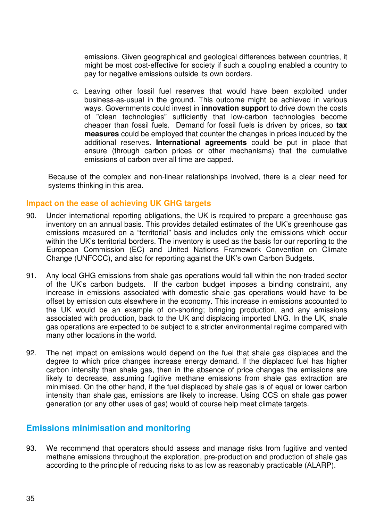emissions. Given geographical and geological differences between countries, it might be most cost-effective for society if such a coupling enabled a country to pay for negative emissions outside its own borders.

c. Leaving other fossil fuel reserves that would have been exploited under business-as-usual in the ground. This outcome might be achieved in various ways. Governments could invest in **innovation support** to drive down the costs of "clean technologies" sufficiently that low-carbon technologies become cheaper than fossil fuels. Demand for fossil fuels is driven by prices, so **tax measures** could be employed that counter the changes in prices induced by the additional reserves. **International agreements** could be put in place that ensure (through carbon prices or other mechanisms) that the cumulative emissions of carbon over all time are capped.

Because of the complex and non-linear relationships involved, there is a clear need for systems thinking in this area.

#### **Impact on the ease of achieving UK GHG targets**

- 90. Under international reporting obligations, the UK is required to prepare a greenhouse gas inventory on an annual basis. This provides detailed estimates of the UK's greenhouse gas emissions measured on a "territorial" basis and includes only the emissions which occur within the UK's territorial borders. The inventory is used as the basis for our reporting to the European Commission (EC) and United Nations Framework Convention on Climate Change (UNFCCC), and also for reporting against the UK's own Carbon Budgets.
- 91. Any local GHG emissions from shale gas operations would fall within the non-traded sector of the UK's carbon budgets. If the carbon budget imposes a binding constraint, any increase in emissions associated with domestic shale gas operations would have to be offset by emission cuts elsewhere in the economy. This increase in emissions accounted to the UK would be an example of on-shoring; bringing production, and any emissions associated with production, back to the UK and displacing imported LNG. In the UK, shale gas operations are expected to be subject to a stricter environmental regime compared with many other locations in the world.
- 92. The net impact on emissions would depend on the fuel that shale gas displaces and the degree to which price changes increase energy demand. If the displaced fuel has higher carbon intensity than shale gas, then in the absence of price changes the emissions are likely to decrease, assuming fugitive methane emissions from shale gas extraction are minimised. On the other hand, if the fuel displaced by shale gas is of equal or lower carbon intensity than shale gas, emissions are likely to increase. Using CCS on shale gas power generation (or any other uses of gas) would of course help meet climate targets.

# **Emissions minimisation and monitoring**

93. We recommend that operators should assess and manage risks from fugitive and vented methane emissions throughout the exploration, pre-production and production of shale gas according to the principle of reducing risks to as low as reasonably practicable (ALARP).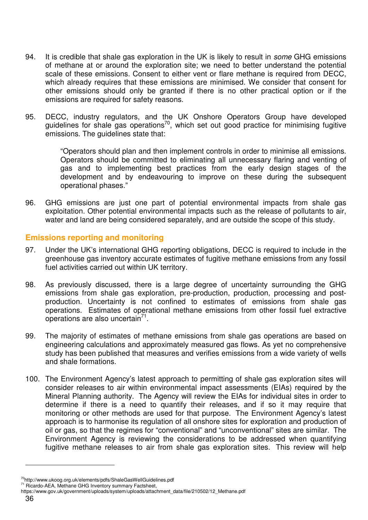- 94. It is credible that shale gas exploration in the UK is likely to result in *some* GHG emissions of methane at or around the exploration site; we need to better understand the potential scale of these emissions. Consent to either vent or flare methane is required from DECC, which already requires that these emissions are minimised. We consider that consent for other emissions should only be granted if there is no other practical option or if the emissions are required for safety reasons.
- 95. DECC, industry regulators, and the UK Onshore Operators Group have developed guidelines for shale gas operations<sup>70</sup>, which set out good practice for minimising fugitive emissions. The guidelines state that:

"Operators should plan and then implement controls in order to minimise all emissions. Operators should be committed to eliminating all unnecessary flaring and venting of gas and to implementing best practices from the early design stages of the development and by endeavouring to improve on these during the subsequent operational phases."

96. GHG emissions are just one part of potential environmental impacts from shale gas exploitation. Other potential environmental impacts such as the release of pollutants to air, water and land are being considered separately, and are outside the scope of this study.

#### **Emissions reporting and monitoring**

- 97. Under the UK's international GHG reporting obligations, DECC is required to include in the greenhouse gas inventory accurate estimates of fugitive methane emissions from any fossil fuel activities carried out within UK territory.
- 98. As previously discussed, there is a large degree of uncertainty surrounding the GHG emissions from shale gas exploration, pre-production, production, processing and postproduction. Uncertainty is not confined to estimates of emissions from shale gas operations. Estimates of operational methane emissions from other fossil fuel extractive operations are also uncertain $^{71}$ .
- 99. The majority of estimates of methane emissions from shale gas operations are based on engineering calculations and approximately measured gas flows. As yet no comprehensive study has been published that measures and verifies emissions from a wide variety of wells and shale formations.
- 100. The Environment Agency's latest approach to permitting of shale gas exploration sites will consider releases to air within environmental impact assessments (EIAs) required by the Mineral Planning authority. The Agency will review the EIAs for individual sites in order to determine if there is a need to quantify their releases, and if so it may require that monitoring or other methods are used for that purpose. The Environment Agency's latest approach is to harmonise its regulation of all onshore sites for exploration and production of oil or gas, so that the regimes for "conventional" and "unconventional" sites are similar. The Environment Agency is reviewing the considerations to be addressed when quantifying fugitive methane releases to air from shale gas exploration sites. This review will help

<sup>70</sup>http://www.ukoog.org.uk/elements/pdfs/ShaleGasWellGuidelines.pdf

<sup>&</sup>lt;sup>71</sup> Ricardo-AEA, Methane GHG Inventory summary Factsheet,

https://www.gov.uk/government/uploads/system/uploads/attachment\_data/file/210502/12\_Methane.pdf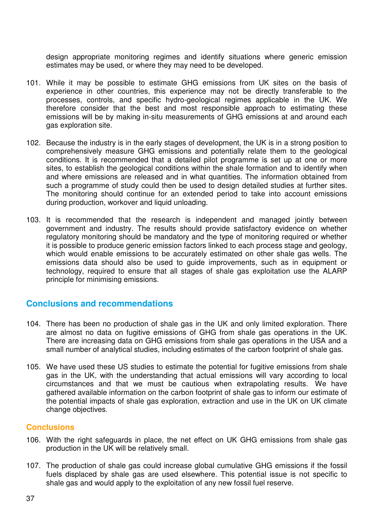design appropriate monitoring regimes and identify situations where generic emission estimates may be used, or where they may need to be developed.

- 101. While it may be possible to estimate GHG emissions from UK sites on the basis of experience in other countries, this experience may not be directly transferable to the processes, controls, and specific hydro-geological regimes applicable in the UK. We therefore consider that the best and most responsible approach to estimating these emissions will be by making in-situ measurements of GHG emissions at and around each gas exploration site.
- 102. Because the industry is in the early stages of development, the UK is in a strong position to comprehensively measure GHG emissions and potentially relate them to the geological conditions. It is recommended that a detailed pilot programme is set up at one or more sites, to establish the geological conditions within the shale formation and to identify when and where emissions are released and in what quantities. The information obtained from such a programme of study could then be used to design detailed studies at further sites. The monitoring should continue for an extended period to take into account emissions during production, workover and liquid unloading.
- 103. It is recommended that the research is independent and managed jointly between government and industry. The results should provide satisfactory evidence on whether regulatory monitoring should be mandatory and the type of monitoring required or whether it is possible to produce generic emission factors linked to each process stage and geology, which would enable emissions to be accurately estimated on other shale gas wells. The emissions data should also be used to guide improvements, such as in equipment or technology, required to ensure that all stages of shale gas exploitation use the ALARP principle for minimising emissions.

#### **Conclusions and recommendations**

- 104. There has been no production of shale gas in the UK and only limited exploration. There are almost no data on fugitive emissions of GHG from shale gas operations in the UK. There are increasing data on GHG emissions from shale gas operations in the USA and a small number of analytical studies, including estimates of the carbon footprint of shale gas.
- 105. We have used these US studies to estimate the potential for fugitive emissions from shale gas in the UK, with the understanding that actual emissions will vary according to local circumstances and that we must be cautious when extrapolating results. We have gathered available information on the carbon footprint of shale gas to inform our estimate of the potential impacts of shale gas exploration, extraction and use in the UK on UK climate change objectives.

#### **Conclusions**

- 106. With the right safeguards in place, the net effect on UK GHG emissions from shale gas production in the UK will be relatively small.
- 107. The production of shale gas could increase global cumulative GHG emissions if the fossil fuels displaced by shale gas are used elsewhere. This potential issue is not specific to shale gas and would apply to the exploitation of any new fossil fuel reserve.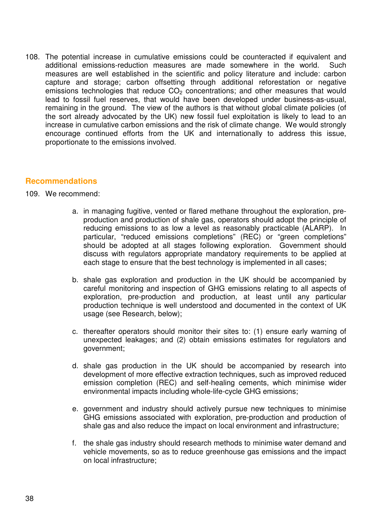108. The potential increase in cumulative emissions could be counteracted if equivalent and additional emissions-reduction measures are made somewhere in the world. Such measures are well established in the scientific and policy literature and include: carbon capture and storage; carbon offsetting through additional reforestation or negative emissions technologies that reduce  $CO<sub>2</sub>$  concentrations; and other measures that would lead to fossil fuel reserves, that would have been developed under business-as-usual, remaining in the ground. The view of the authors is that without global climate policies (of the sort already advocated by the UK) new fossil fuel exploitation is likely to lead to an increase in cumulative carbon emissions and the risk of climate change. We would strongly encourage continued efforts from the UK and internationally to address this issue, proportionate to the emissions involved.

#### **Recommendations**

#### 109. We recommend:

- a. in managing fugitive, vented or flared methane throughout the exploration, preproduction and production of shale gas, operators should adopt the principle of reducing emissions to as low a level as reasonably practicable (ALARP). In particular, "reduced emissions completions" (REC) or "green completions" should be adopted at all stages following exploration. Government should discuss with regulators appropriate mandatory requirements to be applied at each stage to ensure that the best technology is implemented in all cases;
- b. shale gas exploration and production in the UK should be accompanied by careful monitoring and inspection of GHG emissions relating to all aspects of exploration, pre-production and production, at least until any particular production technique is well understood and documented in the context of UK usage (see Research, below);
- c. thereafter operators should monitor their sites to: (1) ensure early warning of unexpected leakages; and (2) obtain emissions estimates for regulators and government;
- d. shale gas production in the UK should be accompanied by research into development of more effective extraction techniques, such as improved reduced emission completion (REC) and self-healing cements, which minimise wider environmental impacts including whole-life-cycle GHG emissions;
- e. government and industry should actively pursue new techniques to minimise GHG emissions associated with exploration, pre-production and production of shale gas and also reduce the impact on local environment and infrastructure;
- f. the shale gas industry should research methods to minimise water demand and vehicle movements, so as to reduce greenhouse gas emissions and the impact on local infrastructure;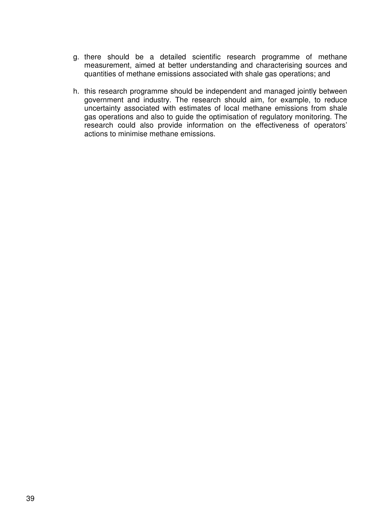- g. there should be a detailed scientific research programme of methane measurement, aimed at better understanding and characterising sources and quantities of methane emissions associated with shale gas operations; and
- h. this research programme should be independent and managed jointly between government and industry. The research should aim, for example, to reduce uncertainty associated with estimates of local methane emissions from shale gas operations and also to guide the optimisation of regulatory monitoring. The research could also provide information on the effectiveness of operators' actions to minimise methane emissions.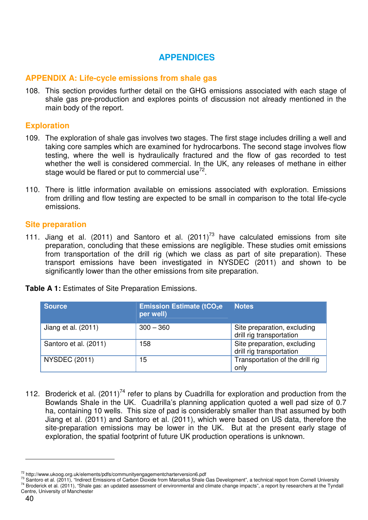# **APPENDICES**

#### **APPENDIX A: Life-cycle emissions from shale gas**

108. This section provides further detail on the GHG emissions associated with each stage of shale gas pre-production and explores points of discussion not already mentioned in the main body of the report.

#### **Exploration**

- 109. The exploration of shale gas involves two stages. The first stage includes drilling a well and taking core samples which are examined for hydrocarbons. The second stage involves flow testing, where the well is hydraulically fractured and the flow of gas recorded to test whether the well is considered commercial. In the UK, any releases of methane in either stage would be flared or put to commercial use<sup>72</sup>.
- 110. There is little information available on emissions associated with exploration. Emissions from drilling and flow testing are expected to be small in comparison to the total life-cycle emissions.

#### **Site preparation**

111. Jiang et al. (2011) and Santoro et al.  $(2011)^{73}$  have calculated emissions from site preparation, concluding that these emissions are negligible. These studies omit emissions from transportation of the drill rig (which we class as part of site preparation). These transport emissions have been investigated in NYSDEC (2011) and shown to be significantly lower than the other emissions from site preparation.

| <b>Source</b>         | <b>Emission Estimate (tCO<sub>2</sub>e</b><br>per well) | <b>Notes</b>                                                                        |
|-----------------------|---------------------------------------------------------|-------------------------------------------------------------------------------------|
| Jiang et al. (2011)   | $300 - 360$                                             | Site preparation, excluding                                                         |
| Santoro et al. (2011) | 158                                                     | drill rig transportation<br>Site preparation, excluding<br>drill rig transportation |
| <b>NYSDEC (2011)</b>  | 15                                                      | Transportation of the drill rig<br>only                                             |

**Table A 1:** Estimates of Site Preparation Emissions.

112. Broderick et al.  $(2011)^{74}$  refer to plans by Cuadrilla for exploration and production from the Bowlands Shale in the UK. Cuadrilla's planning application quoted a well pad size of 0.7 ha, containing 10 wells. This size of pad is considerably smaller than that assumed by both Jiang et al. (2011) and Santoro et al. (2011), which were based on US data, therefore the site-preparation emissions may be lower in the UK. But at the present early stage of exploration, the spatial footprint of future UK production operations is unknown.

<sup>72</sup> http://www.ukoog.org.uk/elements/pdfs/communityengagementcharterversion6.pdf

<sup>&</sup>lt;sup>73</sup> Santoro et al. (2011), "Indirect Emissions of Carbon Dioxide from Marcellus Shale Gas Development", a technical report from Cornell University <sup>74</sup> Broderick et al. (2011), "Shale gas: an updated assessment of environmental and climate change impacts", a report by researchers at the Tyndall Centre, University of Manchester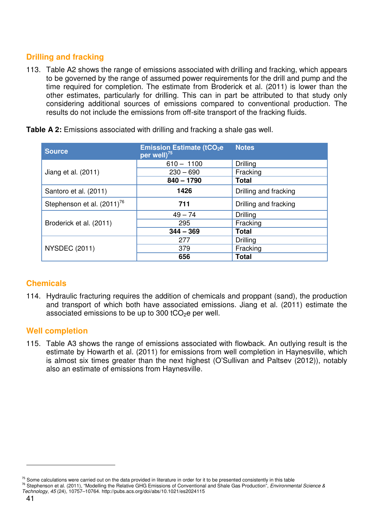# **Drilling and fracking**

113. Table A2 shows the range of emissions associated with drilling and fracking, which appears to be governed by the range of assumed power requirements for the drill and pump and the time required for completion. The estimate from Broderick et al. (2011) is lower than the other estimates, particularly for drilling. This can in part be attributed to that study only considering additional sources of emissions compared to conventional production. The results do not include the emissions from off-site transport of the fracking fluids.

| <b>Source</b>                          | <b>Emission Estimate (tCO<sub>2</sub>e</b><br>per well) <sup>75</sup> | <b>Notes</b>          |  |
|----------------------------------------|-----------------------------------------------------------------------|-----------------------|--|
|                                        | $610 - 1100$                                                          | Drilling              |  |
| Jiang et al. (2011)                    | $230 - 690$                                                           | Fracking              |  |
|                                        | $840 - 1790$                                                          | <b>Total</b>          |  |
| Santoro et al. (2011)                  | 1426                                                                  | Drilling and fracking |  |
| Stephenson et al. (2011) <sup>76</sup> | 711                                                                   | Drilling and fracking |  |
|                                        | $49 - 74$                                                             | Drilling              |  |
| Broderick et al. (2011)                | 295                                                                   | Fracking              |  |
|                                        | $344 - 369$                                                           | <b>Total</b>          |  |
|                                        | 277                                                                   | Drilling              |  |
| <b>NYSDEC (2011)</b>                   | 379                                                                   | Fracking              |  |
|                                        | 656                                                                   | <b>Total</b>          |  |

**Table A 2:** Emissions associated with drilling and fracking a shale gas well.

#### **Chemicals**

114. Hydraulic fracturing requires the addition of chemicals and proppant (sand), the production and transport of which both have associated emissions. Jiang et al. (2011) estimate the associated emissions to be up to 300 tCO $2e$  per well.

#### **Well completion**

115. Table A3 shows the range of emissions associated with flowback. An outlying result is the estimate by Howarth et al. (2011) for emissions from well completion in Haynesville, which is almost six times greater than the next highest (O'Sullivan and Paltsev (2012)), notably also an estimate of emissions from Haynesville.

 $75$  Some calculations were carried out on the data provided in literature in order for it to be presented consistently in this table

 $^{76}$  Stephenson et al. (2011), "Modelling the Relative GHG Emissions of Conventional and Shale Gas Production", Environmental Science & Technology, 45 (24), 10757–10764. http://pubs.acs.org/doi/abs/10.1021/es2024115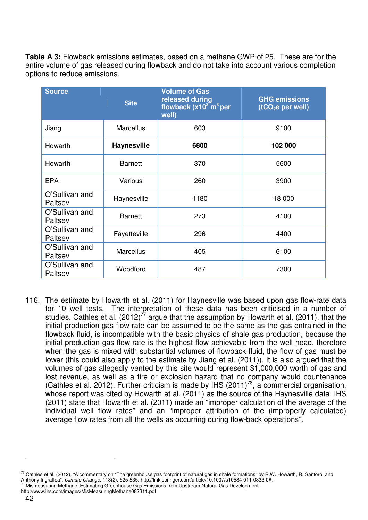**Table A 3:** Flowback emissions estimates, based on a methane GWP of 25. These are for the entire volume of gas released during flowback and do not take into account various completion options to reduce emissions.

| <b>Source</b>             | <b>Site</b>        | <b>Volume of Gas</b><br>released during<br>flowback $(x10^3 \text{ m}^3 \text{ per})$<br>well) | <b>GHG emissions</b><br>(tCO <sub>2</sub> e per well) |
|---------------------------|--------------------|------------------------------------------------------------------------------------------------|-------------------------------------------------------|
| Jiang                     | <b>Marcellus</b>   | 603                                                                                            | 9100                                                  |
| Howarth                   | <b>Haynesville</b> | 6800                                                                                           | 102 000                                               |
| Howarth                   | <b>Barnett</b>     | 370                                                                                            | 5600                                                  |
| <b>EPA</b>                | Various            | 260                                                                                            | 3900                                                  |
| O'Sullivan and<br>Paltsev | Haynesville        | 1180                                                                                           | 18 000                                                |
| O'Sullivan and<br>Paltsev | <b>Barnett</b>     | 273                                                                                            | 4100                                                  |
| O'Sullivan and<br>Paltsev | Fayetteville       | 296                                                                                            | 4400                                                  |
| O'Sullivan and<br>Paltsev | <b>Marcellus</b>   | 405                                                                                            | 6100                                                  |
| O'Sullivan and<br>Paltsev | Woodford           | 487                                                                                            | 7300                                                  |

116. The estimate by Howarth et al. (2011) for Haynesville was based upon gas flow-rate data for 10 well tests. The interpretation of these data has been criticised in a number of studies. Cathles et al.  $(2012)^{77}$  argue that the assumption by Howarth et al. (2011), that the initial production gas flow-rate can be assumed to be the same as the gas entrained in the flowback fluid, is incompatible with the basic physics of shale gas production, because the initial production gas flow-rate is the highest flow achievable from the well head, therefore when the gas is mixed with substantial volumes of flowback fluid, the flow of gas must be lower (this could also apply to the estimate by Jiang et al. (2011)). It is also argued that the volumes of gas allegedly vented by this site would represent \$1,000,000 worth of gas and lost revenue, as well as a fire or explosion hazard that no company would countenance (Cathles et al. 2012). Further criticism is made by IHS (2011)<sup>78</sup>, a commercial organisation, whose report was cited by Howarth et al. (2011) as the source of the Haynesville data. IHS (2011) state that Howarth et al. (2011) made an "improper calculation of the average of the individual well flow rates" and an "improper attribution of the (improperly calculated) average flow rates from all the wells as occurring during flow-back operations".

 $77$  Cathles et al. (2012), "A commentary on "The greenhouse gas footprint of natural gas in shale formations" by R.W. Howarth, R. Santoro, and Anthony Ingraffea", Climate Change, 113(2), 525-535. http://link.springer.com/article/10.1007/s10584-011-0333-0#. <sup>78</sup> Mismeasuring Methane: Estimating Greenhouse Gas Emissions from Upstream Natural Gas Development.

http://www.ihs.com/images/MisMeasuringMethane082311.pdf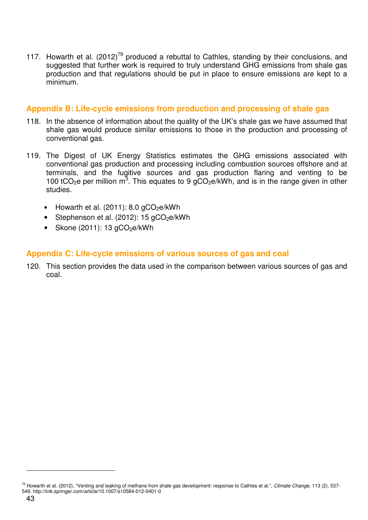117. Howarth et al.  $(2012)^{79}$  produced a rebuttal to Cathles, standing by their conclusions, and suggested that further work is required to truly understand GHG emissions from shale gas production and that regulations should be put in place to ensure emissions are kept to a minimum.

#### **Appendix B: Life-cycle emissions from production and processing of shale gas**

- 118. In the absence of information about the quality of the UK's shale gas we have assumed that shale gas would produce similar emissions to those in the production and processing of conventional gas.
- 119. The Digest of UK Energy Statistics estimates the GHG emissions associated with conventional gas production and processing including combustion sources offshore and at terminals, and the fugitive sources and gas production flaring and venting to be 100 tCO<sub>2</sub>e per million  $m^3$ . This equates to 9 gCO<sub>2</sub>e/kWh, and is in the range given in other studies.
	- Howarth et al.  $(2011)$ : 8.0  $qCO<sub>2</sub>e/kWh$
	- Stephenson et al.  $(2012)$ : 15 gCO<sub>2</sub>e/kWh
	- Skone  $(2011)$ : 13  $aCO<sub>2</sub>e/kWh$

#### **Appendix C: Life-cycle emissions of various sources of gas and coal**

120. This section provides the data used in the comparison between various sources of gas and coal.

<sup>&</sup>lt;sup>79</sup> Howarth et al. (2012), "Venting and leaking of methane from shale gas development: response to Cathles et al.", Climate Change, 113 (2), 537-549. http://link.springer.com/article/10.1007/s10584-012-0401-0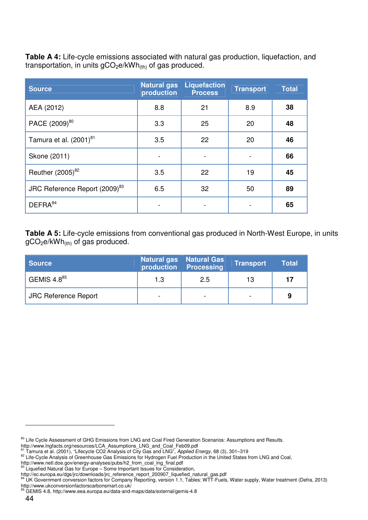**Table A 4:** Life-cycle emissions associated with natural gas production, liquefaction, and transportation, in units  $gCO<sub>2</sub>e/kWh<sub>(th)</sub>$  of gas produced.

| <b>Source</b>                             | <b>Natural gas</b><br>production | <b>Liquefaction</b><br><b>Process</b> | <b>Transport</b> | <b>Total</b> |
|-------------------------------------------|----------------------------------|---------------------------------------|------------------|--------------|
| AEA (2012)                                | 8.8                              | 21                                    | 8.9              | 38           |
| PACE (2009) <sup>80</sup>                 | 3.3                              | 25                                    | 20               | 48           |
| Tamura et al. (2001) <sup>81</sup>        | 3.5                              | 22                                    | 20               | 46           |
| Skone (2011)                              |                                  |                                       |                  | 66           |
| Reuther (2005) <sup>82</sup>              | 3.5                              | 22                                    | 19               | 45           |
| JRC Reference Report (2009) <sup>83</sup> | 6.5                              | 32                                    | 50               | 89           |
| DEFRA <sup>84</sup>                       |                                  |                                       |                  | 65           |

**Table A 5:** Life-cycle emissions from conventional gas produced in North-West Europe, in units  $gCO<sub>2</sub>e/kWh<sub>(th)</sub>$  of gas produced.

| <b>Source</b>               |      | Natural gas   Natural Gas<br>production Processing | <b>Transport</b> | <b>Total</b> |
|-----------------------------|------|----------------------------------------------------|------------------|--------------|
| GEMIS 4.8 $85$              | 1.3  | 2.5                                                | 13               | 17           |
| <b>JRC Reference Report</b> | $\,$ | $\,$                                               |                  | 9            |

<sup>&</sup>lt;sup>80</sup> Life Cycle Assessment of GHG Emissions from LNG and Coal Fired Generation Scenarios: Assumptions and Results.

http://www.lngfacts.org/resources/LCA\_Assumptions\_LNG\_and\_Coal\_Feb09.pdf<br><sup>81</sup> Tamura et al. (2001), "Lifecycle CO2 Analysis of City Gas and LNG", *Applied Energy*, 68 (3), 301–319

<sup>&</sup>lt;sup>82</sup> Life-Cycle Analysis of Greenhouse Gas Emissions for Hydrogen Fuel Production in the United States from LNG and Coal,

http://www.netl.doe.gov/energy-analyses/pubs/h2\_from\_coal\_lng\_final.pdf<br><sup>83</sup> Liquefied Natural Gas for Europe – Some Important Issues for Consideration,

http://ec.europa.eu/dgs/jrc/downloads/jrc\_reference\_report\_200907\_liquefied\_natural\_gas.pdf<br><sup>84</sup> LIK Government conversion fectors for Company Departing years in the contract of the contract of the contract

UK Government conversion factors for Company Reporting, version 1.1, Tables: WTT-Fuels, Water supply, Water treatment (Defra, 2013) **http://www.ukconversionfactorscarbonsmart.co.uk/**<br>http://www.ukconversionfactorscarbonsmart.co.uk/<br><sup>85</sup> GEMIS 4.0. http://

<sup>85</sup> GEMIS 4.8, http://www.eea.europa.eu/data-and-maps/data/external/gemis-4.8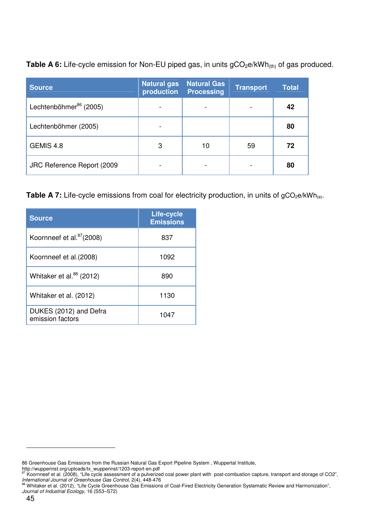**Table A 6:** Life-cycle emission for Non-EU piped gas, in units gCO<sub>2</sub>e/kWh<sub>(th)</sub> of gas produced.

| <b>Source</b>                      | <b>Natural gas</b><br>production | <b>Natural Gas</b><br><b>Processing</b> | <b>Transport</b> | <b>Total</b> |
|------------------------------------|----------------------------------|-----------------------------------------|------------------|--------------|
| Lechtenböhmer <sup>86</sup> (2005) |                                  |                                         |                  | 42           |
| Lechtenböhmer (2005)               |                                  |                                         |                  | 80           |
| GEMIS 4.8                          | 3                                | 10                                      | 59               | 72           |
| JRC Reference Report (2009)        |                                  |                                         |                  | 80           |

Table A 7: Life-cycle emissions from coal for electricity production, in units of gCO<sub>2</sub>e/kWh<sub>(e)</sub>.

| <b>Source</b>                              | Life-cycle<br><b>Emissions</b> |
|--------------------------------------------|--------------------------------|
| Koornneef et al. <sup>87</sup> (2008)      | 837                            |
| Koornneef et al. (2008)                    | 1092                           |
| Whitaker et al. <sup>88</sup> (2012)       | 890                            |
| Whitaker et al. (2012)                     | 1130                           |
| DUKES (2012) and Defra<br>emission factors | 1047                           |

<sup>86</sup> Greenhouse Gas Emissions from the Russian Natural Gas Export Pipeline System , Wuppertal Institute,

http://wupperinst.org/uploads/tx\_wupperinst/1203-report-en.pdf<br><sup>87</sup> Koornneef et al. (2008), "Life cycle assessment of a pulverized coal power plant with post-combustion capture, transport and storage of CO2",

*International Journal of Greenhouse Gas Control*, 2(4), 448-476<br><sup>88</sup> Whitaker et al. (2012), "Life Cycle Greenhouse Gas Emissions of Coal-Fired Electricity Generation Systematic Review and Harmonization", Journal of Industrial Ecology, 16 (S53-S72)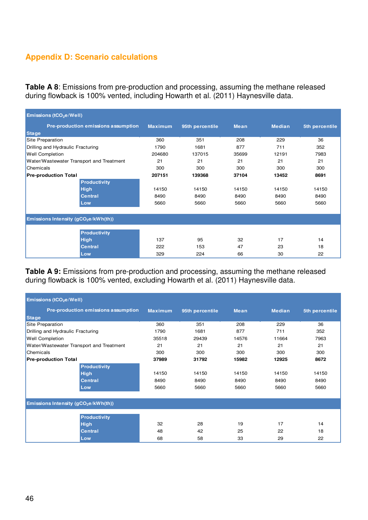# **Appendix D: Scenario calculations**

**Table A 8**: Emissions from pre-production and processing, assuming the methane released during flowback is 100% vented, including Howarth et al. (2011) Haynesville data.

| Emissions (tCO <sub>2</sub> e/Well)              |                                     |                |                 |             |               |                |  |  |
|--------------------------------------------------|-------------------------------------|----------------|-----------------|-------------|---------------|----------------|--|--|
|                                                  | Pre-production emissions assumption | <b>Maximum</b> | 95th percentile | <b>Mean</b> | <b>Median</b> | 5th percentile |  |  |
| <b>Stage</b>                                     |                                     |                |                 |             |               |                |  |  |
| Site Preparation                                 |                                     | 360            | 351             | 208         | 229           | 36             |  |  |
| Drilling and Hydraulic Fracturing                |                                     | 1790           | 1681            | 877         | 711           | 352            |  |  |
| <b>Well Completion</b>                           |                                     | 204680         | 137015          | 35699       | 12191         | 7983           |  |  |
| Water/Wastewater Transport and Treatment         |                                     | 21             | 21              | 21          | 21            | 21             |  |  |
| Chemicals                                        |                                     | 300            | 300             | 300         | 300           | 300            |  |  |
| <b>Pre-production Total</b>                      |                                     | 207151         | 139368          | 37104       | 13452         | 8691           |  |  |
|                                                  | <b>Productivity</b>                 |                |                 |             |               |                |  |  |
|                                                  | <b>High</b>                         | 14150          | 14150           | 14150       | 14150         | 14150          |  |  |
|                                                  | <b>Central</b>                      | 8490           | 8490            | 8490        | 8490          | 8490           |  |  |
|                                                  | Low                                 | 5660           | 5660            | 5660        | 5660          | 5660           |  |  |
|                                                  |                                     |                |                 |             |               |                |  |  |
| Emissions Intensity (gCO <sub>2</sub> e/kWh(th)) |                                     |                |                 |             |               |                |  |  |
|                                                  | <b>Productivity</b>                 |                |                 |             |               |                |  |  |
|                                                  | <b>High</b>                         | 137            | 95              | 32          | 17            | 14             |  |  |
|                                                  | <b>Central</b>                      | 222            | 153             | 47          | 23            | 18             |  |  |
|                                                  | Low                                 | 329            | 224             | 66          | 30            | 22             |  |  |

Table A 9: Emissions from pre-production and processing, assuming the methane released during flowback is 100% vented, excluding Howarth et al. (2011) Haynesville data.

| Emissions (tCO <sub>2</sub> e/Well)              |                                     |                |                 |             |               |                |  |  |
|--------------------------------------------------|-------------------------------------|----------------|-----------------|-------------|---------------|----------------|--|--|
|                                                  | Pre-production emissions assumption | <b>Maximum</b> | 95th percentile | <b>Mean</b> | <b>Median</b> | 5th percentile |  |  |
| <b>Stage</b>                                     |                                     |                |                 |             |               |                |  |  |
| Site Preparation                                 |                                     | 360            | 351             | 208         | 229           | 36             |  |  |
| Drilling and Hydraulic Fracturing                |                                     | 1790           | 1681            | 877         | 711           | 352            |  |  |
| <b>Well Completion</b>                           |                                     | 35518          | 29439           | 14576       | 11664         | 7963           |  |  |
| Water/Wastewater Transport and Treatment         |                                     | 21             | 21              | 21          | 21            | 21             |  |  |
| Chemicals                                        |                                     | 300            | 300             | 300         | 300           | 300            |  |  |
| <b>Pre-production Total</b>                      |                                     | 37989          | 31792           | 15982       | 12925         | 8672           |  |  |
|                                                  | <b>Productivity</b>                 |                |                 |             |               |                |  |  |
|                                                  | <b>High</b>                         | 14150          | 14150           | 14150       | 14150         | 14150          |  |  |
|                                                  | <b>Central</b>                      | 8490           | 8490            | 8490        | 8490          | 8490           |  |  |
|                                                  | Low                                 | 5660           | 5660            | 5660        | 5660          | 5660           |  |  |
|                                                  |                                     |                |                 |             |               |                |  |  |
| Emissions Intensity (gCO <sub>2</sub> e/kWh(th)) |                                     |                |                 |             |               |                |  |  |
|                                                  | <b>Productivity</b>                 |                |                 |             |               |                |  |  |
|                                                  | <b>High</b>                         | 32             | 28              | 19          | 17            | 14             |  |  |
|                                                  | <b>Central</b>                      | 48             | 42              | 25          | 22            | 18             |  |  |
|                                                  | Low                                 | 68             | 58              | 33          | 29            | 22             |  |  |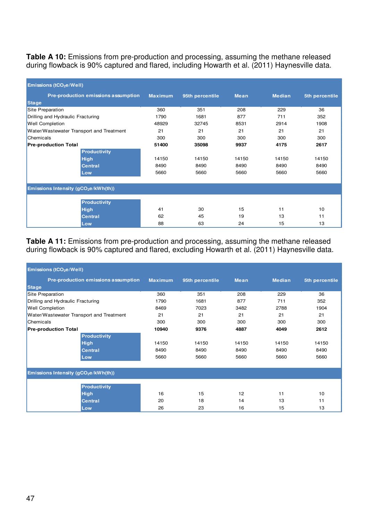Table A 10: Emissions from pre-production and processing, assuming the methane released during flowback is 90% captured and flared, including Howarth et al. (2011) Haynesville data.

| Emissions (tCO <sub>2</sub> e/Well)              |                                     |                |                 |             |               |                |
|--------------------------------------------------|-------------------------------------|----------------|-----------------|-------------|---------------|----------------|
|                                                  | Pre-production emissions assumption | <b>Maximum</b> | 95th percentile | <b>Mean</b> | <b>Median</b> | 5th percentile |
| <b>Stage</b>                                     |                                     |                |                 |             |               |                |
| Site Preparation                                 |                                     | 360            | 351             | 208         | 229           | 36             |
| Drilling and Hydraulic Fracturing                |                                     | 1790           | 1681            | 877         | 711           | 352            |
| <b>Well Completion</b>                           |                                     | 48929          | 32745           | 8531        | 2914          | 1908           |
| Water/Wastewater Transport and Treatment         |                                     | 21             | 21              | 21          | 21            | 21             |
| Chemicals                                        |                                     | 300            | 300             | 300         | 300           | 300            |
| <b>Pre-production Total</b>                      |                                     | 51400          | 35098           | 9937        | 4175          | 2617           |
|                                                  | <b>Productivity</b>                 |                |                 |             |               |                |
|                                                  | <b>High</b>                         | 14150          | 14150           | 14150       | 14150         | 14150          |
|                                                  | <b>Central</b>                      | 8490           | 8490            | 8490        | 8490          | 8490           |
|                                                  | Low                                 | 5660           | 5660            | 5660        | 5660          | 5660           |
|                                                  |                                     |                |                 |             |               |                |
| Emissions Intensity (gCO <sub>2</sub> e/kWh(th)) |                                     |                |                 |             |               |                |
|                                                  | <b>Productivity</b>                 |                |                 |             |               |                |
|                                                  | <b>High</b>                         | 41             | 30              | 15          | 11            | 10             |
|                                                  | <b>Central</b>                      | 62             | 45              | 19          | 13            | 11             |
|                                                  | Low                                 | 88             | 63              | 24          | 15            | 13             |

**Table A 11:** Emissions from pre-production and processing, assuming the methane released during flowback is 90% captured and flared, excluding Howarth et al. (2011) Haynesville data.

| Emissions (tCO <sub>2</sub> e/Well)      |                                                  |                |                 |             |               |                |  |
|------------------------------------------|--------------------------------------------------|----------------|-----------------|-------------|---------------|----------------|--|
|                                          | Pre-production emissions assumption              | <b>Maximum</b> | 95th percentile | <b>Mean</b> | <b>Median</b> | 5th percentile |  |
| <b>Stage</b>                             |                                                  |                |                 |             |               |                |  |
| Site Preparation                         |                                                  | 360            | 351             | 208         | 229           | 36             |  |
| Drilling and Hydraulic Fracturing        |                                                  | 1790           | 1681            | 877         | 711           | 352            |  |
| <b>Well Completion</b>                   |                                                  | 8469           | 7023            | 3482        | 2788          | 1904           |  |
| Water/Wastewater Transport and Treatment |                                                  | 21             | 21              | 21          | 21            | 21             |  |
| Chemicals                                |                                                  | 300            | 300             | 300         | 300           | 300            |  |
| <b>Pre-production Total</b>              |                                                  | 10940          | 9376            | 4887        | 4049          | 2612           |  |
|                                          | <b>Productivity</b>                              |                |                 |             |               |                |  |
|                                          | <b>High</b>                                      | 14150          | 14150           | 14150       | 14150         | 14150          |  |
|                                          | <b>Central</b>                                   | 8490           | 8490            | 8490        | 8490          | 8490           |  |
|                                          | Low                                              | 5660           | 5660            | 5660        | 5660          | 5660           |  |
|                                          |                                                  |                |                 |             |               |                |  |
|                                          | Emissions Intensity (gCO <sub>2</sub> e/kWh(th)) |                |                 |             |               |                |  |
|                                          |                                                  |                |                 |             |               |                |  |
|                                          | <b>Productivity</b>                              |                |                 |             |               |                |  |
|                                          | <b>High</b>                                      | 16             | 15              | 12          | 11            | 10             |  |
|                                          | <b>Central</b>                                   | 20             | 18              | 14          | 13            | 11             |  |
|                                          | Low                                              | 26             | 23              | 16          | 15            | 13             |  |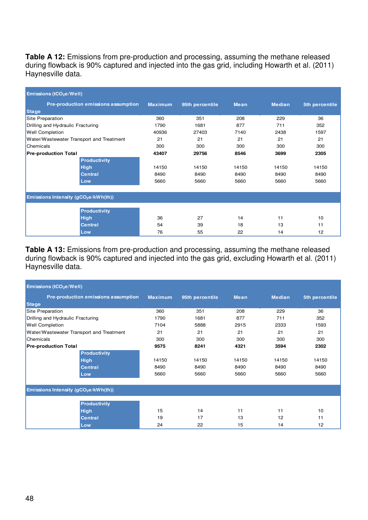**Table A 12:** Emissions from pre-production and processing, assuming the methane released during flowback is 90% captured and injected into the gas grid, including Howarth et al. (2011) Haynesville data.

| Emissions (tCO <sub>2</sub> e/Well)              |                                     |                |                 |             |               |                |
|--------------------------------------------------|-------------------------------------|----------------|-----------------|-------------|---------------|----------------|
|                                                  | Pre-production emissions assumption | <b>Maximum</b> | 95th percentile | <b>Mean</b> | <b>Median</b> | 5th percentile |
| <b>Stage</b>                                     |                                     |                |                 |             |               |                |
| Site Preparation                                 |                                     | 360            | 351             | 208         | 229           | 36             |
| Drilling and Hydraulic Fracturing                |                                     | 1790           | 1681            | 877         | 711           | 352            |
| <b>Well Completion</b>                           |                                     | 40936          | 27403           | 7140        | 2438          | 1597           |
| Water/Wastewater Transport and Treatment         |                                     | 21             | 21              | 21          | 21            | 21             |
| Chemicals                                        |                                     | 300            | 300             | 300         | 300           | 300            |
| <b>Pre-production Total</b>                      |                                     | 43407          | 29756           | 8546        | 3699          | 2305           |
|                                                  | <b>Productivity</b>                 |                |                 |             |               |                |
|                                                  | <b>High</b>                         | 14150          | 14150           | 14150       | 14150         | 14150          |
|                                                  | <b>Central</b>                      | 8490           | 8490            | 8490        | 8490          | 8490           |
|                                                  | Low                                 | 5660           | 5660            | 5660        | 5660          | 5660           |
|                                                  |                                     |                |                 |             |               |                |
| Emissions Intensity (gCO <sub>2</sub> e/kWh(th)) |                                     |                |                 |             |               |                |
|                                                  | <b>Productivity</b>                 |                |                 |             |               |                |
|                                                  | <b>High</b>                         | 36             | 27              | 14          | 11            | 10             |
|                                                  | <b>Central</b>                      | 54             | 39              | 18          | 13            | 11             |
|                                                  | Low                                 | 76             | 55              | 22          | 14            | 12             |

Table A 13: Emissions from pre-production and processing, assuming the methane released during flowback is 90% captured and injected into the gas grid, excluding Howarth et al. (2011) Haynesville data.

| Emissions (tCO <sub>2</sub> e/Well)              |                                     |                |                 |             |               |                |
|--------------------------------------------------|-------------------------------------|----------------|-----------------|-------------|---------------|----------------|
|                                                  | Pre-production emissions assumption | <b>Maximum</b> | 95th percentile | <b>Mean</b> | <b>Median</b> | 5th percentile |
| <b>Stage</b>                                     |                                     |                |                 |             |               |                |
| Site Preparation                                 |                                     | 360            | 351             | 208         | 229           | 36             |
| Drilling and Hydraulic Fracturing                |                                     | 1790           | 1681            | 877         | 711           | 352            |
| <b>Well Completion</b>                           |                                     | 7104           | 5888            | 2915        | 2333          | 1593           |
| Water/Wastewater Transport and Treatment         |                                     | 21             | 21              | 21          | 21            | 21             |
| Chemicals                                        |                                     | 300            | 300             | 300         | 300           | 300            |
| <b>Pre-production Total</b>                      |                                     | 9575           | 8241            | 4321        | 3594          | 2302           |
|                                                  | <b>Productivity</b>                 |                |                 |             |               |                |
|                                                  | <b>High</b>                         | 14150          | 14150           | 14150       | 14150         | 14150          |
|                                                  | <b>Central</b>                      | 8490           | 8490            | 8490        | 8490          | 8490           |
|                                                  | Low                                 | 5660           | 5660            | 5660        | 5660          | 5660           |
|                                                  |                                     |                |                 |             |               |                |
| Emissions Intensity (gCO <sub>2</sub> e/kWh(th)) |                                     |                |                 |             |               |                |
|                                                  | <b>Productivity</b>                 |                |                 |             |               |                |
|                                                  | <b>High</b>                         | 15             | 14              | 11          | 11            | 10             |
|                                                  | <b>Central</b>                      | 19             | 17              | 13          | 12            | 11             |
|                                                  | Low                                 | 24             | 22              | 15          | 14            | 12             |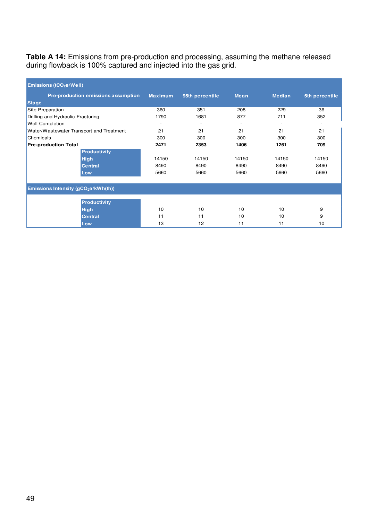**Table A 14:** Emissions from pre-production and processing, assuming the methane released during flowback is 100% captured and injected into the gas grid.

| Emissions (tCO <sub>2</sub> e/Well)              |                                     |                |                          |                          |                          |                |
|--------------------------------------------------|-------------------------------------|----------------|--------------------------|--------------------------|--------------------------|----------------|
|                                                  | Pre-production emissions assumption | <b>Maximum</b> | 95th percentile          | <b>Mean</b>              | <b>Median</b>            | 5th percentile |
| <b>Stage</b>                                     |                                     |                |                          |                          |                          |                |
| Site Preparation                                 |                                     | 360            | 351                      | 208                      | 229                      | 36             |
| Drilling and Hydraulic Fracturing                |                                     | 1790           | 1681                     | 877                      | 711                      | 352            |
| <b>Well Completion</b>                           |                                     | ٠              | $\overline{\phantom{a}}$ | $\overline{\phantom{a}}$ | $\overline{\phantom{a}}$ |                |
| Water/Wastewater Transport and Treatment         |                                     | 21             | 21                       | 21                       | 21                       | 21             |
| Chemicals                                        |                                     | 300            | 300                      | 300                      | 300                      | 300            |
| <b>Pre-production Total</b>                      |                                     | 2471           | 2353                     | 1406                     | 1261                     | 709            |
|                                                  | <b>Productivity</b>                 |                |                          |                          |                          |                |
|                                                  | <b>High</b>                         | 14150          | 14150                    | 14150                    | 14150                    | 14150          |
|                                                  | <b>Central</b>                      | 8490           | 8490                     | 8490                     | 8490                     | 8490           |
|                                                  | Low                                 | 5660           | 5660                     | 5660                     | 5660                     | 5660           |
|                                                  |                                     |                |                          |                          |                          |                |
| Emissions Intensity (gCO <sub>2</sub> e/kWh(th)) |                                     |                |                          |                          |                          |                |
|                                                  | <b>Productivity</b>                 |                |                          |                          |                          |                |
|                                                  | <b>High</b>                         | 10             | 10                       | 10                       | 10                       | 9              |
|                                                  | <b>Central</b>                      | 11             | 11                       | 10                       | 10                       | 9              |
|                                                  | Low                                 | 13             | 12                       | 11                       | 11                       | 10             |